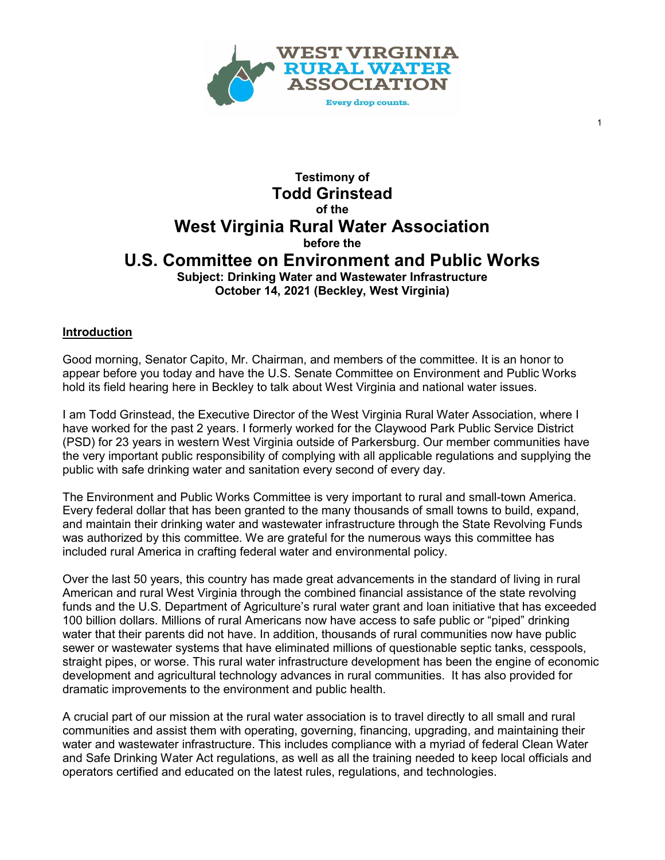

1

# **Testimony of Todd Grinstead of the West Virginia Rural Water Association before the U.S. Committee on Environment and Public Works Subject: Drinking Water and Wastewater Infrastructure October 14, 2021 (Beckley, West Virginia)**

## **Introduction**

Good morning, Senator Capito, Mr. Chairman, and members of the committee. It is an honor to appear before you today and have the U.S. Senate Committee on Environment and Public Works hold its field hearing here in Beckley to talk about West Virginia and national water issues.

I am Todd Grinstead, the Executive Director of the West Virginia Rural Water Association, where I have worked for the past 2 years. I formerly worked for the Claywood Park Public Service District (PSD) for 23 years in western West Virginia outside of Parkersburg. Our member communities have the very important public responsibility of complying with all applicable regulations and supplying the public with safe drinking water and sanitation every second of every day.

The Environment and Public Works Committee is very important to rural and small-town America. Every federal dollar that has been granted to the many thousands of small towns to build, expand, and maintain their drinking water and wastewater infrastructure through the State Revolving Funds was authorized by this committee. We are grateful for the numerous ways this committee has included rural America in crafting federal water and environmental policy.

Over the last 50 years, this country has made great advancements in the standard of living in rural American and rural West Virginia through the combined financial assistance of the state revolving funds and the U.S. Department of Agriculture's rural water grant and loan initiative that has exceeded 100 billion dollars. Millions of rural Americans now have access to safe public or "piped" drinking water that their parents did not have. In addition, thousands of rural communities now have public sewer or wastewater systems that have eliminated millions of questionable septic tanks, cesspools, straight pipes, or worse. This rural water infrastructure development has been the engine of economic development and agricultural technology advances in rural communities. It has also provided for dramatic improvements to the environment and public health.

A crucial part of our mission at the rural water association is to travel directly to all small and rural communities and assist them with operating, governing, financing, upgrading, and maintaining their water and wastewater infrastructure. This includes compliance with a myriad of federal Clean Water and Safe Drinking Water Act regulations, as well as all the training needed to keep local officials and operators certified and educated on the latest rules, regulations, and technologies.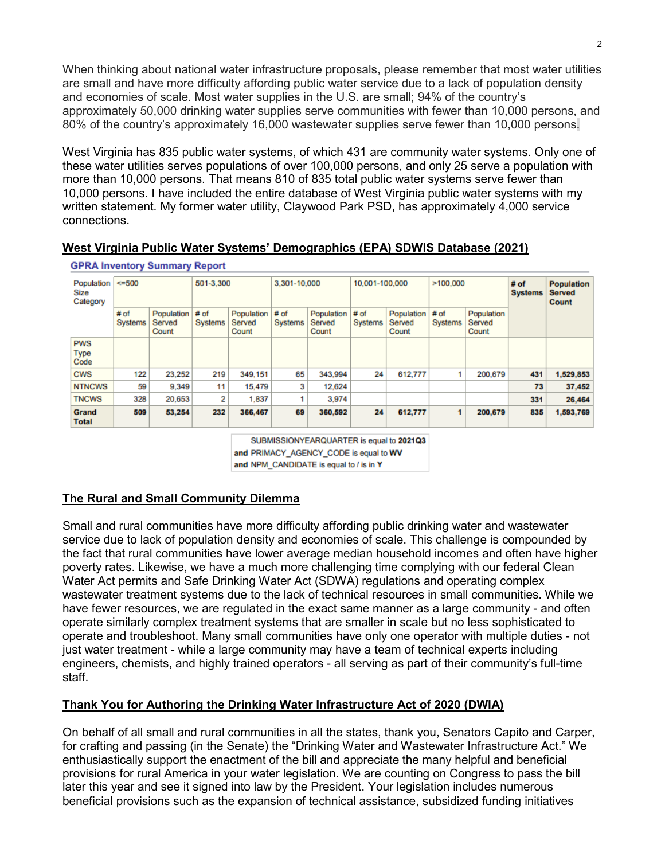When thinking about national water infrastructure proposals, please remember that most water utilities are small and have more difficulty affording public water service due to a lack of population density and economies of scale. Most water supplies in the U.S. are small; 94% of the country's approximately 50,000 drinking water supplies serve communities with fewer than 10,000 persons, and 80% of the country's approximately 16,000 wastewater supplies serve fewer than 10,000 persons.

West Virginia has 835 public water systems, of which 431 are community water systems. Only one of these water utilities serves populations of over 100,000 persons, and only 25 serve a population with more than 10,000 persons. That means 810 of 835 total public water systems serve fewer than 10,000 persons. I have included the entire database of West Virginia public water systems with my written statement. My former water utility, Claywood Park PSD, has approximately 4,000 service connections.

**West Virginia Public Water Systems' Demographics (EPA) SDWIS Database (2021)**

| GPRA Inventory Summary Report  |                   |                               |                           |                               |                          |                               |                 |                               |                   |                               |                                             |           |
|--------------------------------|-------------------|-------------------------------|---------------------------|-------------------------------|--------------------------|-------------------------------|-----------------|-------------------------------|-------------------|-------------------------------|---------------------------------------------|-----------|
| Population<br>Size<br>Category | 500               |                               | 501-3.300<br>3.301-10.000 |                               |                          | 10.001-100.000                |                 | >100.000                      |                   | # of<br><b>Systems</b>        | <b>Population</b><br><b>Served</b><br>Count |           |
|                                | $#$ of<br>Systems | Population<br>Served<br>Count | # of<br><b>Systems</b>    | Population<br>Served<br>Count | $#$ of<br><b>Systems</b> | Population<br>Served<br>Count | # of<br>Systems | Population<br>Served<br>Count | $#$ of<br>Systems | Population<br>Served<br>Count |                                             |           |
| <b>PWS</b><br>Type<br>Code     |                   |                               |                           |                               |                          |                               |                 |                               |                   |                               |                                             |           |
| <b>CWS</b>                     | 122               | 23,252                        | 219                       | 349.151                       | 65                       | 343,994                       | 24              | 612.777                       |                   | 200.679                       | 431                                         | 1,529,853 |
| <b>NTNCWS</b>                  | 59                | 9,349                         | 11                        | 15,479                        | 3                        | 12.624                        |                 |                               |                   |                               | 73                                          | 37,452    |
| <b>TNCWS</b>                   | 328               | 20,653                        | 2                         | 1,837                         |                          | 3.974                         |                 |                               |                   |                               | 331                                         | 26,464    |
| Grand<br><b>Total</b>          | 509               | 53,254                        | 232                       | 366,467                       | 69                       | 360,592                       | 24              | 612,777                       | 1                 | 200,679                       | 835                                         | 1,593,769 |

SUBMISSIONYEARQUARTER is equal to 2021Q3 and PRIMACY\_AGENCY\_CODE is equal to WV

and NPM\_CANDIDATE is equal to / is in Y

# **The Rural and Small Community Dilemma**

Small and rural communities have more difficulty affording public drinking water and wastewater service due to lack of population density and economies of scale. This challenge is compounded by the fact that rural communities have lower average median household incomes and often have higher poverty rates. Likewise, we have a much more challenging time complying with our federal Clean Water Act permits and Safe Drinking Water Act (SDWA) regulations and operating complex wastewater treatment systems due to the lack of technical resources in small communities. While we have fewer resources, we are regulated in the exact same manner as a large community - and often operate similarly complex treatment systems that are smaller in scale but no less sophisticated to operate and troubleshoot. Many small communities have only one operator with multiple duties - not just water treatment - while a large community may have a team of technical experts including engineers, chemists, and highly trained operators - all serving as part of their community's full-time staff.

## **Thank You for Authoring the Drinking Water Infrastructure Act of 2020 (DWIA)**

On behalf of all small and rural communities in all the states, thank you, Senators Capito and Carper, for crafting and passing (in the Senate) the "Drinking Water and Wastewater Infrastructure Act." We enthusiastically support the enactment of the bill and appreciate the many helpful and beneficial provisions for rural America in your water legislation. We are counting on Congress to pass the bill later this year and see it signed into law by the President. Your legislation includes numerous beneficial provisions such as the expansion of technical assistance, subsidized funding initiatives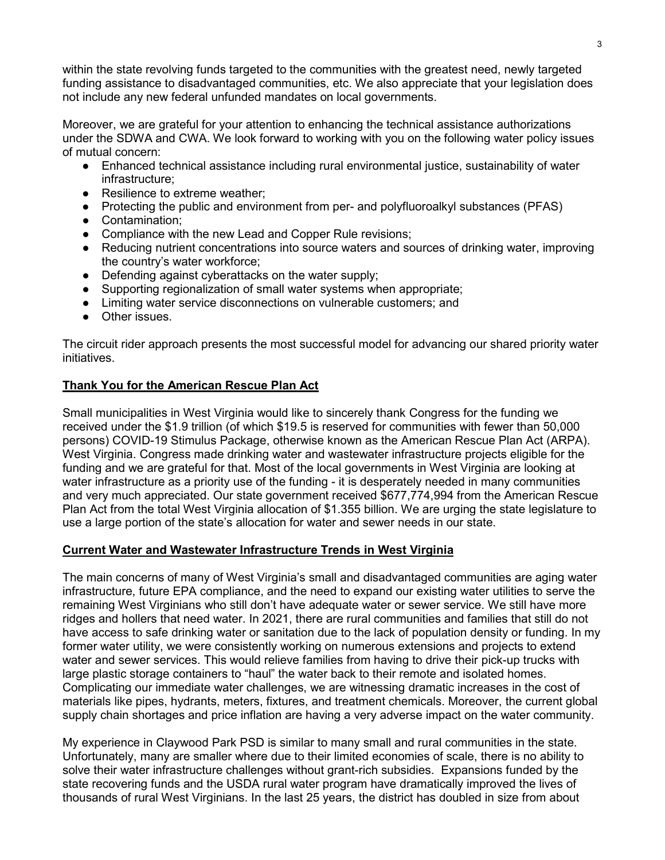within the state revolving funds targeted to the communities with the greatest need, newly targeted funding assistance to disadvantaged communities, etc. We also appreciate that your legislation does not include any new federal unfunded mandates on local governments.

Moreover, we are grateful for your attention to enhancing the technical assistance authorizations under the SDWA and CWA. We look forward to working with you on the following water policy issues of mutual concern:

- Enhanced technical assistance including rural environmental justice, sustainability of water infrastructure;
- Resilience to extreme weather:
- Protecting the public and environment from per- and polyfluoroalkyl substances (PFAS)
- Contamination;
- Compliance with the new Lead and Copper Rule revisions;
- Reducing nutrient concentrations into source waters and sources of drinking water, improving the country's water workforce;
- Defending against cyberattacks on the water supply;
- Supporting regionalization of small water systems when appropriate;
- Limiting water service disconnections on vulnerable customers; and
- Other issues.

The circuit rider approach presents the most successful model for advancing our shared priority water initiatives.

#### **Thank You for the American Rescue Plan Act**

Small municipalities in West Virginia would like to sincerely thank Congress for the funding we received under the \$1.9 trillion (of which \$19.5 is reserved for communities with fewer than 50,000 persons) COVID-19 Stimulus Package, otherwise known as the American Rescue Plan Act (ARPA). West Virginia. Congress made drinking water and wastewater infrastructure projects eligible for the funding and we are grateful for that. Most of the local governments in West Virginia are looking at water infrastructure as a priority use of the funding - it is desperately needed in many communities and very much appreciated. Our state government received \$677,774,994 from the American Rescue Plan Act from the total West Virginia allocation of \$1.355 billion. We are urging the state legislature to use a large portion of the state's allocation for water and sewer needs in our state.

## **Current Water and Wastewater Infrastructure Trends in West Virginia**

The main concerns of many of West Virginia's small and disadvantaged communities are aging water infrastructure, future EPA compliance, and the need to expand our existing water utilities to serve the remaining West Virginians who still don't have adequate water or sewer service. We still have more ridges and hollers that need water. In 2021, there are rural communities and families that still do not have access to safe drinking water or sanitation due to the lack of population density or funding. In my former water utility, we were consistently working on numerous extensions and projects to extend water and sewer services. This would relieve families from having to drive their pick-up trucks with large plastic storage containers to "haul" the water back to their remote and isolated homes. Complicating our immediate water challenges, we are witnessing dramatic increases in the cost of materials like pipes, hydrants, meters, fixtures, and treatment chemicals. Moreover, the current global supply chain shortages and price inflation are having a very adverse impact on the water community.

My experience in Claywood Park PSD is similar to many small and rural communities in the state. Unfortunately, many are smaller where due to their limited economies of scale, there is no ability to solve their water infrastructure challenges without grant-rich subsidies. Expansions funded by the state recovering funds and the USDA rural water program have dramatically improved the lives of thousands of rural West Virginians. In the last 25 years, the district has doubled in size from about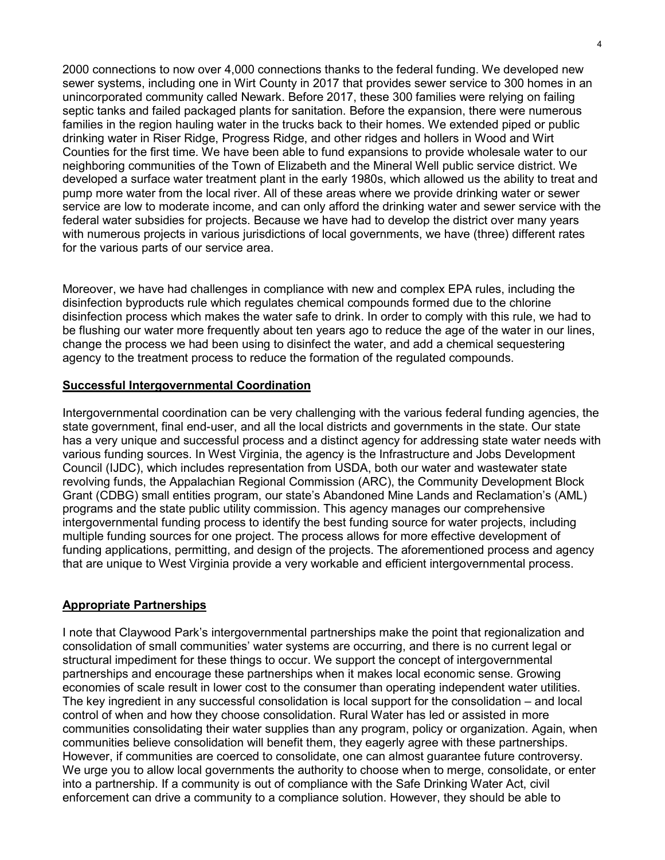2000 connections to now over 4,000 connections thanks to the federal funding. We developed new sewer systems, including one in Wirt County in 2017 that provides sewer service to 300 homes in an unincorporated community called Newark. Before 2017, these 300 families were relying on failing septic tanks and failed packaged plants for sanitation. Before the expansion, there were numerous families in the region hauling water in the trucks back to their homes. We extended piped or public drinking water in Riser Ridge, Progress Ridge, and other ridges and hollers in Wood and Wirt Counties for the first time. We have been able to fund expansions to provide wholesale water to our neighboring communities of the Town of Elizabeth and the Mineral Well public service district. We developed a surface water treatment plant in the early 1980s, which allowed us the ability to treat and pump more water from the local river. All of these areas where we provide drinking water or sewer service are low to moderate income, and can only afford the drinking water and sewer service with the federal water subsidies for projects. Because we have had to develop the district over many years with numerous projects in various jurisdictions of local governments, we have (three) different rates for the various parts of our service area.

Moreover, we have had challenges in compliance with new and complex EPA rules, including the disinfection byproducts rule which regulates chemical compounds formed due to the chlorine disinfection process which makes the water safe to drink. In order to comply with this rule, we had to be flushing our water more frequently about ten years ago to reduce the age of the water in our lines, change the process we had been using to disinfect the water, and add a chemical sequestering agency to the treatment process to reduce the formation of the regulated compounds.

#### **Successful Intergovernmental Coordination**

Intergovernmental coordination can be very challenging with the various federal funding agencies, the state government, final end-user, and all the local districts and governments in the state. Our state has a very unique and successful process and a distinct agency for addressing state water needs with various funding sources. In West Virginia, the agency is the Infrastructure and Jobs Development Council (IJDC), which includes representation from USDA, both our water and wastewater state revolving funds, the Appalachian Regional Commission (ARC), the Community Development Block Grant (CDBG) small entities program, our state's Abandoned Mine Lands and Reclamation's (AML) programs and the state public utility commission. This agency manages our comprehensive intergovernmental funding process to identify the best funding source for water projects, including multiple funding sources for one project. The process allows for more effective development of funding applications, permitting, and design of the projects. The aforementioned process and agency that are unique to West Virginia provide a very workable and efficient intergovernmental process.

#### **Appropriate Partnerships**

I note that Claywood Park's intergovernmental partnerships make the point that regionalization and consolidation of small communities' water systems are occurring, and there is no current legal or structural impediment for these things to occur. We support the concept of intergovernmental partnerships and encourage these partnerships when it makes local economic sense. Growing economies of scale result in lower cost to the consumer than operating independent water utilities. The key ingredient in any successful consolidation is local support for the consolidation – and local control of when and how they choose consolidation. Rural Water has led or assisted in more communities consolidating their water supplies than any program, policy or organization. Again, when communities believe consolidation will benefit them, they eagerly agree with these partnerships. However, if communities are coerced to consolidate, one can almost guarantee future controversy. We urge you to allow local governments the authority to choose when to merge, consolidate, or enter into a partnership. If a community is out of compliance with the Safe Drinking Water Act, civil enforcement can drive a community to a compliance solution. However, they should be able to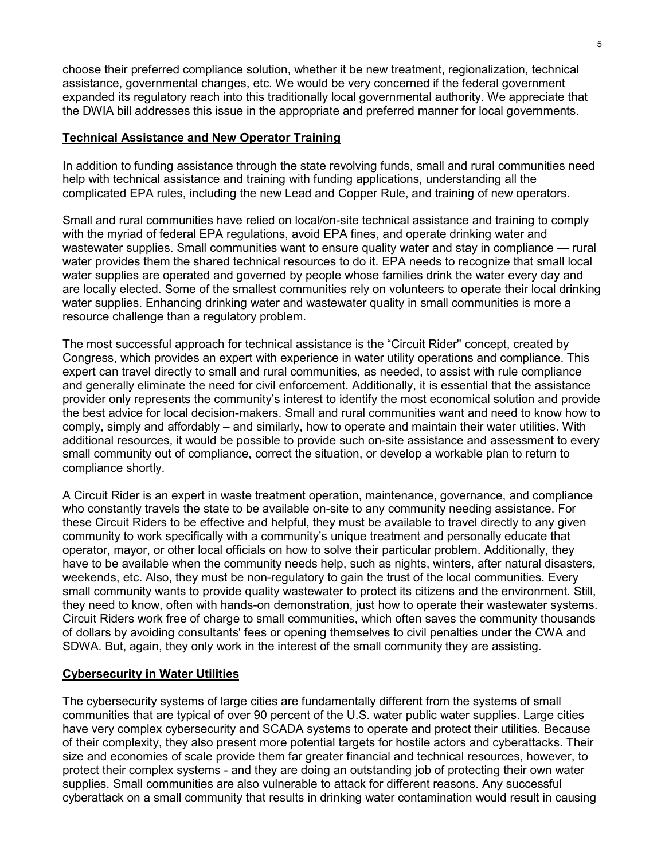choose their preferred compliance solution, whether it be new treatment, regionalization, technical assistance, governmental changes, etc. We would be very concerned if the federal government expanded its regulatory reach into this traditionally local governmental authority. We appreciate that the DWIA bill addresses this issue in the appropriate and preferred manner for local governments.

#### **Technical Assistance and New Operator Training**

In addition to funding assistance through the state revolving funds, small and rural communities need help with technical assistance and training with funding applications, understanding all the complicated EPA rules, including the new Lead and Copper Rule, and training of new operators.

Small and rural communities have relied on local/on-site technical assistance and training to comply with the myriad of federal EPA regulations, avoid EPA fines, and operate drinking water and wastewater supplies. Small communities want to ensure quality water and stay in compliance — rural water provides them the shared technical resources to do it. EPA needs to recognize that small local water supplies are operated and governed by people whose families drink the water every day and are locally elected. Some of the smallest communities rely on volunteers to operate their local drinking water supplies. Enhancing drinking water and wastewater quality in small communities is more a resource challenge than a regulatory problem.

The most successful approach for technical assistance is the "Circuit Rider'' concept, created by Congress, which provides an expert with experience in water utility operations and compliance. This expert can travel directly to small and rural communities, as needed, to assist with rule compliance and generally eliminate the need for civil enforcement. Additionally, it is essential that the assistance provider only represents the community's interest to identify the most economical solution and provide the best advice for local decision-makers. Small and rural communities want and need to know how to comply, simply and affordably – and similarly, how to operate and maintain their water utilities. With additional resources, it would be possible to provide such on-site assistance and assessment to every small community out of compliance, correct the situation, or develop a workable plan to return to compliance shortly.

A Circuit Rider is an expert in waste treatment operation, maintenance, governance, and compliance who constantly travels the state to be available on-site to any community needing assistance. For these Circuit Riders to be effective and helpful, they must be available to travel directly to any given community to work specifically with a community's unique treatment and personally educate that operator, mayor, or other local officials on how to solve their particular problem. Additionally, they have to be available when the community needs help, such as nights, winters, after natural disasters, weekends, etc. Also, they must be non-regulatory to gain the trust of the local communities. Every small community wants to provide quality wastewater to protect its citizens and the environment. Still, they need to know, often with hands-on demonstration, just how to operate their wastewater systems. Circuit Riders work free of charge to small communities, which often saves the community thousands of dollars by avoiding consultants' fees or opening themselves to civil penalties under the CWA and SDWA. But, again, they only work in the interest of the small community they are assisting.

## **Cybersecurity in Water Utilities**

The cybersecurity systems of large cities are fundamentally different from the systems of small communities that are typical of over 90 percent of the U.S. water public water supplies. Large cities have very complex cybersecurity and SCADA systems to operate and protect their utilities. Because of their complexity, they also present more potential targets for hostile actors and cyberattacks. Their size and economies of scale provide them far greater financial and technical resources, however, to protect their complex systems - and they are doing an outstanding job of protecting their own water supplies. Small communities are also vulnerable to attack for different reasons. Any successful cyberattack on a small community that results in drinking water contamination would result in causing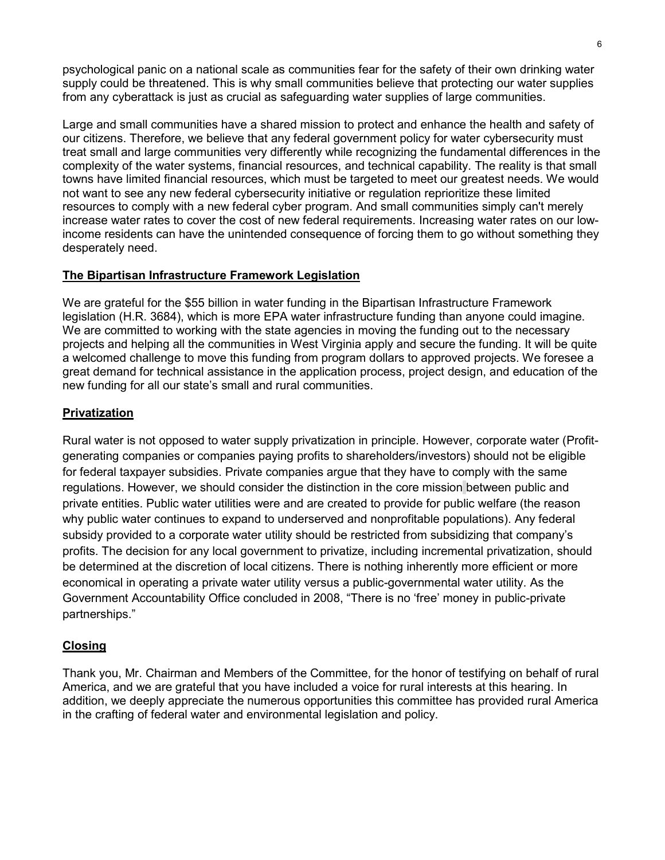psychological panic on a national scale as communities fear for the safety of their own drinking water supply could be threatened. This is why small communities believe that protecting our water supplies from any cyberattack is just as crucial as safeguarding water supplies of large communities.

Large and small communities have a shared mission to protect and enhance the health and safety of our citizens. Therefore, we believe that any federal government policy for water cybersecurity must treat small and large communities very differently while recognizing the fundamental differences in the complexity of the water systems, financial resources, and technical capability. The reality is that small towns have limited financial resources, which must be targeted to meet our greatest needs. We would not want to see any new federal cybersecurity initiative or regulation reprioritize these limited resources to comply with a new federal cyber program. And small communities simply can't merely increase water rates to cover the cost of new federal requirements. Increasing water rates on our lowincome residents can have the unintended consequence of forcing them to go without something they desperately need.

## **The Bipartisan Infrastructure Framework Legislation**

We are grateful for the \$55 billion in water funding in the Bipartisan Infrastructure Framework legislation (H.R. 3684), which is more EPA water infrastructure funding than anyone could imagine. We are committed to working with the state agencies in moving the funding out to the necessary projects and helping all the communities in West Virginia apply and secure the funding. It will be quite a welcomed challenge to move this funding from program dollars to approved projects. We foresee a great demand for technical assistance in the application process, project design, and education of the new funding for all our state's small and rural communities.

## **Privatization**

Rural water is not opposed to water supply privatization in principle. However, corporate water (Profitgenerating companies or companies paying profits to shareholders/investors) should not be eligible for federal taxpayer subsidies. Private companies argue that they have to comply with the same regulations. However, we should consider the distinction in the core mission between public and private entities. Public water utilities were and are created to provide for public welfare (the reason why public water continues to expand to underserved and nonprofitable populations). Any federal subsidy provided to a corporate water utility should be restricted from subsidizing that company's profits. The decision for any local government to privatize, including incremental privatization, should be determined at the discretion of local citizens. There is nothing inherently more efficient or more economical in operating a private water utility versus a public-governmental water utility. As the Government Accountability Office concluded in 2008, "There is no 'free' money in public-private partnerships."

# **Closing**

Thank you, Mr. Chairman and Members of the Committee, for the honor of testifying on behalf of rural America, and we are grateful that you have included a voice for rural interests at this hearing. In addition, we deeply appreciate the numerous opportunities this committee has provided rural America in the crafting of federal water and environmental legislation and policy.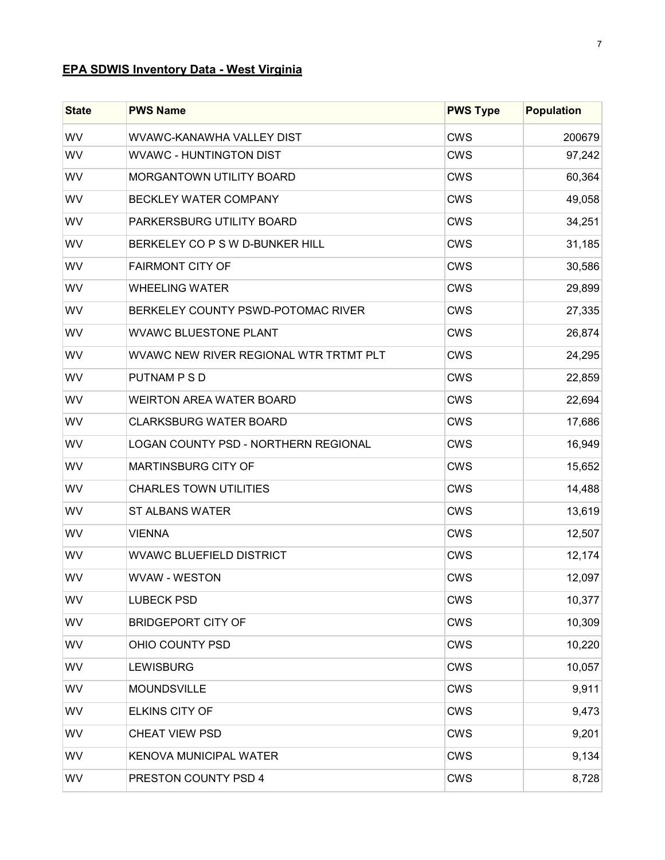# **EPA SDWIS Inventory Data - West Virginia**

| <b>State</b> | <b>PWS Name</b>                        | <b>PWS Type</b> | <b>Population</b> |
|--------------|----------------------------------------|-----------------|-------------------|
| WV           | <b>WVAWC-KANAWHA VALLEY DIST</b>       | <b>CWS</b>      | 200679            |
| WV           | <b>WVAWC - HUNTINGTON DIST</b>         | <b>CWS</b>      | 97,242            |
| WV           | MORGANTOWN UTILITY BOARD               | <b>CWS</b>      | 60,364            |
| WV           | BECKLEY WATER COMPANY                  | <b>CWS</b>      | 49,058            |
| WV           | PARKERSBURG UTILITY BOARD              | <b>CWS</b>      | 34,251            |
| WV           | BERKELEY CO P S W D-BUNKER HILL        | <b>CWS</b>      | 31,185            |
| WV           | <b>FAIRMONT CITY OF</b>                | <b>CWS</b>      | 30,586            |
| WV           | <b>WHEELING WATER</b>                  | <b>CWS</b>      | 29,899            |
| WV           | BERKELEY COUNTY PSWD-POTOMAC RIVER     | <b>CWS</b>      | 27,335            |
| WV           | <b>WVAWC BLUESTONE PLANT</b>           | <b>CWS</b>      | 26,874            |
| WV           | WVAWC NEW RIVER REGIONAL WTR TRTMT PLT | <b>CWS</b>      | 24,295            |
| WV           | PUTNAM P S D                           | <b>CWS</b>      | 22,859            |
| WV           | <b>WEIRTON AREA WATER BOARD</b>        | <b>CWS</b>      | 22,694            |
| WV           | <b>CLARKSBURG WATER BOARD</b>          | <b>CWS</b>      | 17,686            |
| WV           | LOGAN COUNTY PSD - NORTHERN REGIONAL   | <b>CWS</b>      | 16,949            |
| WV           | MARTINSBURG CITY OF                    | <b>CWS</b>      | 15,652            |
| WV           | <b>CHARLES TOWN UTILITIES</b>          | <b>CWS</b>      | 14,488            |
| WV           | <b>ST ALBANS WATER</b>                 | <b>CWS</b>      | 13,619            |
| WV           | <b>VIENNA</b>                          | <b>CWS</b>      | 12,507            |
| WV           | <b>WVAWC BLUEFIELD DISTRICT</b>        | <b>CWS</b>      | 12,174            |
| WV           | <b>WVAW - WESTON</b>                   | <b>CWS</b>      | 12,097            |
| WV           | <b>LUBECK PSD</b>                      | <b>CWS</b>      | 10,377            |
| <b>WV</b>    | <b>BRIDGEPORT CITY OF</b>              | <b>CWS</b>      | 10,309            |
| WV           | OHIO COUNTY PSD                        | <b>CWS</b>      | 10,220            |
| WV           | <b>LEWISBURG</b>                       | <b>CWS</b>      | 10,057            |
| WV           | <b>MOUNDSVILLE</b>                     | <b>CWS</b>      | 9,911             |
| WV           | ELKINS CITY OF                         | <b>CWS</b>      | 9,473             |
| WV           | <b>CHEAT VIEW PSD</b>                  | <b>CWS</b>      | 9,201             |
| <b>WV</b>    | KENOVA MUNICIPAL WATER                 | <b>CWS</b>      | 9,134             |
| <b>WV</b>    | PRESTON COUNTY PSD 4                   | <b>CWS</b>      | 8,728             |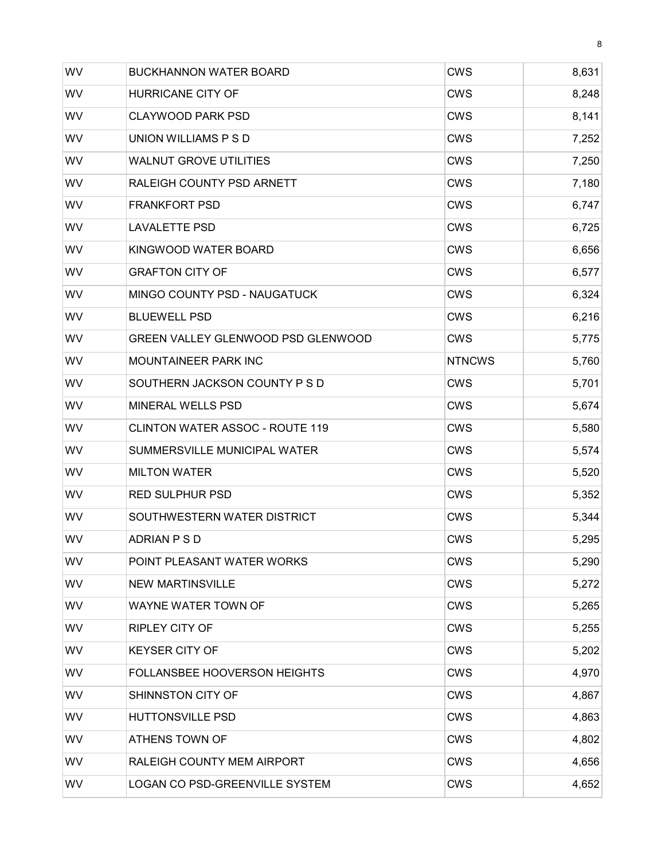| WV        | <b>BUCKHANNON WATER BOARD</b>          | <b>CWS</b>    | 8,631 |
|-----------|----------------------------------------|---------------|-------|
| WV        | <b>HURRICANE CITY OF</b>               | <b>CWS</b>    | 8,248 |
| WV        | <b>CLAYWOOD PARK PSD</b>               | CWS           | 8,141 |
| WV        | UNION WILLIAMS P S D                   | <b>CWS</b>    | 7,252 |
| <b>WV</b> | <b>WALNUT GROVE UTILITIES</b>          | CWS           | 7,250 |
| WV        | RALEIGH COUNTY PSD ARNETT              | <b>CWS</b>    | 7,180 |
| WV        | <b>FRANKFORT PSD</b>                   | <b>CWS</b>    | 6,747 |
| WV        | <b>LAVALETTE PSD</b>                   | <b>CWS</b>    | 6,725 |
| WV        | KINGWOOD WATER BOARD                   | CWS           | 6,656 |
| WV        | <b>GRAFTON CITY OF</b>                 | <b>CWS</b>    | 6,577 |
| WV        | <b>MINGO COUNTY PSD - NAUGATUCK</b>    | <b>CWS</b>    | 6,324 |
| WV        | <b>BLUEWELL PSD</b>                    | <b>CWS</b>    | 6,216 |
| WV        | GREEN VALLEY GLENWOOD PSD GLENWOOD     | CWS           | 5,775 |
| WV        | <b>MOUNTAINEER PARK INC</b>            | <b>NTNCWS</b> | 5,760 |
| WV        | SOUTHERN JACKSON COUNTY P S D          | <b>CWS</b>    | 5,701 |
| WV        | MINERAL WELLS PSD                      | <b>CWS</b>    | 5,674 |
| <b>WV</b> | <b>CLINTON WATER ASSOC - ROUTE 119</b> | CWS           | 5,580 |
| WV        | SUMMERSVILLE MUNICIPAL WATER           | <b>CWS</b>    | 5,574 |
| WV        | <b>MILTON WATER</b>                    | <b>CWS</b>    | 5,520 |
| WV        | <b>RED SULPHUR PSD</b>                 | CWS           | 5,352 |
| WV        | SOUTHWESTERN WATER DISTRICT            | <b>CWS</b>    | 5,344 |
| WV        | ADRIAN PSD                             | <b>CWS</b>    | 5,295 |
| WV        | POINT PLEASANT WATER WORKS             | <b>CWS</b>    | 5,290 |
| WV        | <b>NEW MARTINSVILLE</b>                | <b>CWS</b>    | 5,272 |
| <b>WV</b> | WAYNE WATER TOWN OF                    | <b>CWS</b>    | 5,265 |
| <b>WV</b> | <b>RIPLEY CITY OF</b>                  | <b>CWS</b>    | 5,255 |
| <b>WV</b> | <b>KEYSER CITY OF</b>                  | <b>CWS</b>    | 5,202 |
| WV        | FOLLANSBEE HOOVERSON HEIGHTS           | <b>CWS</b>    | 4,970 |
| WV        | SHINNSTON CITY OF                      | <b>CWS</b>    | 4,867 |
| WV        | <b>HUTTONSVILLE PSD</b>                | <b>CWS</b>    | 4,863 |
| WV        | ATHENS TOWN OF                         | <b>CWS</b>    | 4,802 |
| <b>WV</b> | RALEIGH COUNTY MEM AIRPORT             | <b>CWS</b>    | 4,656 |
| <b>WV</b> | LOGAN CO PSD-GREENVILLE SYSTEM         | <b>CWS</b>    | 4,652 |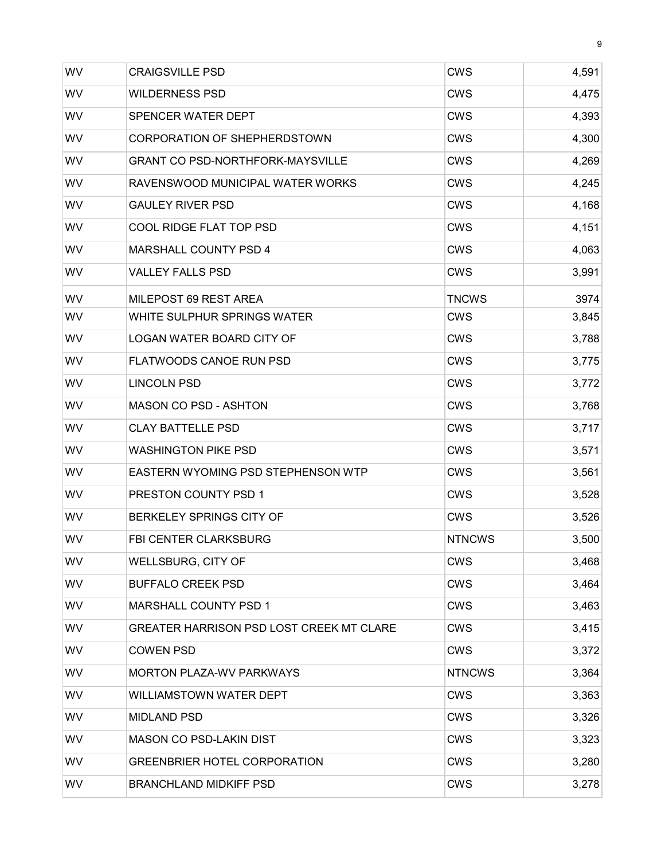| <b>WV</b> | <b>CRAIGSVILLE PSD</b>                          | <b>CWS</b>    | 4,591 |
|-----------|-------------------------------------------------|---------------|-------|
| WV        | <b>WILDERNESS PSD</b>                           | <b>CWS</b>    | 4,475 |
| WV        | SPENCER WATER DEPT                              | <b>CWS</b>    | 4,393 |
| <b>WV</b> | <b>CORPORATION OF SHEPHERDSTOWN</b>             | <b>CWS</b>    | 4,300 |
| <b>WV</b> | <b>GRANT CO PSD-NORTHFORK-MAYSVILLE</b>         | CWS           | 4,269 |
| WV        | RAVENSWOOD MUNICIPAL WATER WORKS                | CWS           | 4,245 |
| WV        | <b>GAULEY RIVER PSD</b>                         | <b>CWS</b>    | 4,168 |
| WV        | COOL RIDGE FLAT TOP PSD                         | <b>CWS</b>    | 4,151 |
| WV        | MARSHALL COUNTY PSD 4                           | <b>CWS</b>    | 4,063 |
| <b>WV</b> | <b>VALLEY FALLS PSD</b>                         | <b>CWS</b>    | 3,991 |
| WV        | MILEPOST 69 REST AREA                           | <b>TNCWS</b>  | 3974  |
| <b>WV</b> | WHITE SULPHUR SPRINGS WATER                     | <b>CWS</b>    | 3,845 |
| WV        | <b>LOGAN WATER BOARD CITY OF</b>                | <b>CWS</b>    | 3,788 |
| WV        | FLATWOODS CANOE RUN PSD                         | <b>CWS</b>    | 3,775 |
| WV        | <b>LINCOLN PSD</b>                              | <b>CWS</b>    | 3,772 |
| <b>WV</b> | <b>MASON CO PSD - ASHTON</b>                    | <b>CWS</b>    | 3,768 |
| <b>WV</b> | <b>CLAY BATTELLE PSD</b>                        | <b>CWS</b>    | 3,717 |
| WV        | <b>WASHINGTON PIKE PSD</b>                      | <b>CWS</b>    | 3,571 |
| WV        | EASTERN WYOMING PSD STEPHENSON WTP              | <b>CWS</b>    | 3,561 |
| WV        | <b>PRESTON COUNTY PSD 1</b>                     | <b>CWS</b>    | 3,528 |
| WV        | BERKELEY SPRINGS CITY OF                        | <b>CWS</b>    | 3,526 |
| WV        | <b>FBI CENTER CLARKSBURG</b>                    | <b>NTNCWS</b> | 3,500 |
| <b>WV</b> | <b>WELLSBURG, CITY OF</b>                       | <b>CWS</b>    | 3,468 |
| WV        | <b>BUFFALO CREEK PSD</b>                        | <b>CWS</b>    | 3,464 |
| WV        | MARSHALL COUNTY PSD 1                           | <b>CWS</b>    | 3,463 |
| <b>WV</b> | <b>GREATER HARRISON PSD LOST CREEK MT CLARE</b> | <b>CWS</b>    | 3,415 |
| WV        | <b>COWEN PSD</b>                                | <b>CWS</b>    | 3,372 |
| WV        | <b>MORTON PLAZA-WV PARKWAYS</b>                 | <b>NTNCWS</b> | 3,364 |
| WV        | WILLIAMSTOWN WATER DEPT                         | <b>CWS</b>    | 3,363 |
| WV        | <b>MIDLAND PSD</b>                              | <b>CWS</b>    | 3,326 |
| WV        | <b>MASON CO PSD-LAKIN DIST</b>                  | <b>CWS</b>    | 3,323 |
| WV        | <b>GREENBRIER HOTEL CORPORATION</b>             | <b>CWS</b>    | 3,280 |
| WV        | <b>BRANCHLAND MIDKIFF PSD</b>                   | <b>CWS</b>    | 3,278 |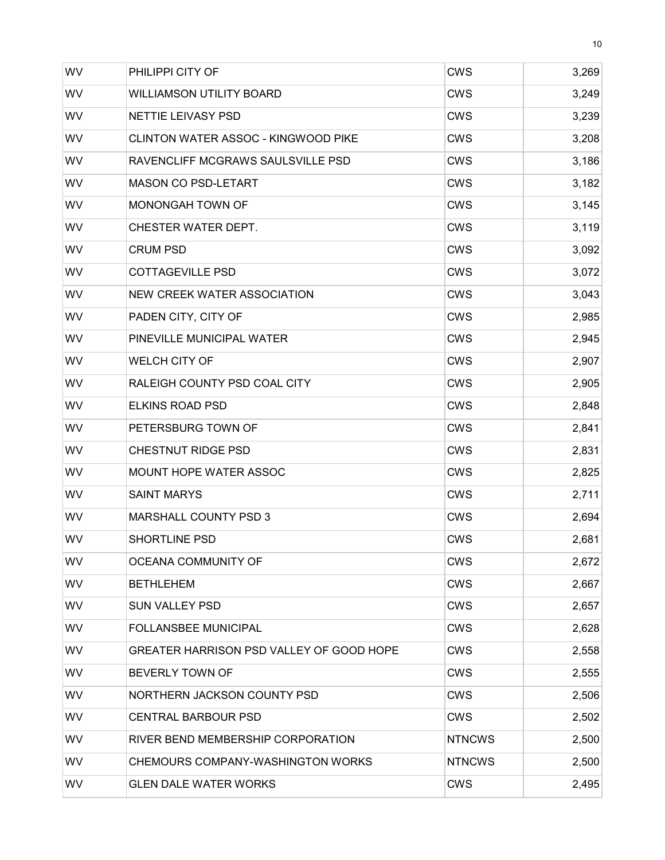| WV        | PHILIPPI CITY OF                           | <b>CWS</b>    | 3,269 |
|-----------|--------------------------------------------|---------------|-------|
| WV        | <b>WILLIAMSON UTILITY BOARD</b>            | <b>CWS</b>    | 3,249 |
| WV        | <b>NETTIE LEIVASY PSD</b>                  | <b>CWS</b>    | 3,239 |
| WV        | <b>CLINTON WATER ASSOC - KINGWOOD PIKE</b> | <b>CWS</b>    | 3,208 |
| <b>WV</b> | RAVENCLIFF MCGRAWS SAULSVILLE PSD          | <b>CWS</b>    | 3,186 |
| WV        | <b>MASON CO PSD-LETART</b>                 | <b>CWS</b>    | 3,182 |
| WV        | MONONGAH TOWN OF                           | <b>CWS</b>    | 3,145 |
| WV        | CHESTER WATER DEPT.                        | <b>CWS</b>    | 3,119 |
| WV        | <b>CRUM PSD</b>                            | <b>CWS</b>    | 3,092 |
| WV        | <b>COTTAGEVILLE PSD</b>                    | <b>CWS</b>    | 3,072 |
| <b>WV</b> | <b>NEW CREEK WATER ASSOCIATION</b>         | <b>CWS</b>    | 3,043 |
| WV        | PADEN CITY, CITY OF                        | <b>CWS</b>    | 2,985 |
| WV        | PINEVILLE MUNICIPAL WATER                  | <b>CWS</b>    | 2,945 |
| WV        | <b>WELCH CITY OF</b>                       | <b>CWS</b>    | 2,907 |
| WV        | RALEIGH COUNTY PSD COAL CITY               | <b>CWS</b>    | 2,905 |
| WV        | <b>ELKINS ROAD PSD</b>                     | <b>CWS</b>    | 2,848 |
| WV        | PETERSBURG TOWN OF                         | <b>CWS</b>    | 2,841 |
| WV        | <b>CHESTNUT RIDGE PSD</b>                  | <b>CWS</b>    | 2,831 |
| WV        | <b>MOUNT HOPE WATER ASSOC</b>              | <b>CWS</b>    | 2,825 |
| WV        | <b>SAINT MARYS</b>                         | <b>CWS</b>    | 2,711 |
| WV        | MARSHALL COUNTY PSD 3                      | <b>CWS</b>    | 2,694 |
| WV        | <b>SHORTLINE PSD</b>                       | <b>CWS</b>    | 2,681 |
| WV        | OCEANA COMMUNITY OF                        | <b>CWS</b>    | 2,672 |
| WV        | <b>BETHLEHEM</b>                           | <b>CWS</b>    | 2,667 |
| WV        | <b>SUN VALLEY PSD</b>                      | <b>CWS</b>    | 2,657 |
| WV        | <b>FOLLANSBEE MUNICIPAL</b>                | <b>CWS</b>    | 2,628 |
| <b>WV</b> | GREATER HARRISON PSD VALLEY OF GOOD HOPE   | <b>CWS</b>    | 2,558 |
| <b>WV</b> | BEVERLY TOWN OF                            | <b>CWS</b>    | 2,555 |
| WV        | NORTHERN JACKSON COUNTY PSD                | <b>CWS</b>    | 2,506 |
| <b>WV</b> | <b>CENTRAL BARBOUR PSD</b>                 | <b>CWS</b>    | 2,502 |
| WV        | RIVER BEND MEMBERSHIP CORPORATION          | <b>NTNCWS</b> | 2,500 |
| WV        | CHEMOURS COMPANY-WASHINGTON WORKS          | <b>NTNCWS</b> | 2,500 |
| WV        | <b>GLEN DALE WATER WORKS</b>               | <b>CWS</b>    | 2,495 |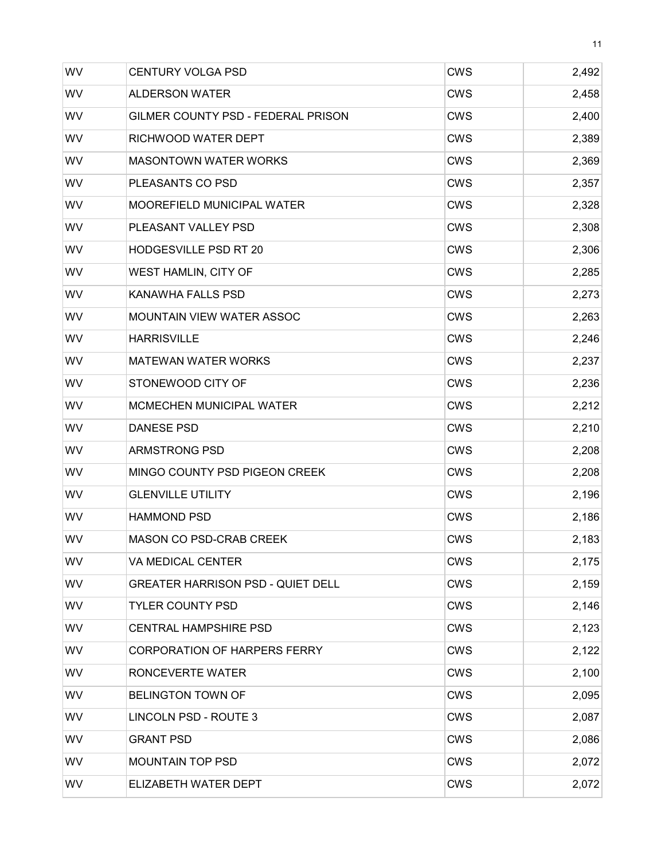| WV        | <b>CENTURY VOLGA PSD</b>                 | <b>CWS</b> | 2,492 |
|-----------|------------------------------------------|------------|-------|
| WV        | <b>ALDERSON WATER</b>                    | <b>CWS</b> | 2,458 |
| WV        | GILMER COUNTY PSD - FEDERAL PRISON       | <b>CWS</b> | 2,400 |
| WV        | RICHWOOD WATER DEPT                      | <b>CWS</b> | 2,389 |
| WV        | <b>MASONTOWN WATER WORKS</b>             | <b>CWS</b> | 2,369 |
| WV        | PLEASANTS CO PSD                         | <b>CWS</b> | 2,357 |
| WV        | MOOREFIELD MUNICIPAL WATER               | <b>CWS</b> | 2,328 |
| WV        | PLEASANT VALLEY PSD                      | <b>CWS</b> | 2,308 |
| WV        | <b>HODGESVILLE PSD RT 20</b>             | <b>CWS</b> | 2,306 |
| WV        | WEST HAMLIN, CITY OF                     | <b>CWS</b> | 2,285 |
| WV        | <b>KANAWHA FALLS PSD</b>                 | <b>CWS</b> | 2,273 |
| WV        | <b>MOUNTAIN VIEW WATER ASSOC</b>         | <b>CWS</b> | 2,263 |
| WV        | <b>HARRISVILLE</b>                       | <b>CWS</b> | 2,246 |
| WV        | <b>MATEWAN WATER WORKS</b>               | <b>CWS</b> | 2,237 |
| WV        | STONEWOOD CITY OF                        | <b>CWS</b> | 2,236 |
| WV        | <b>MCMECHEN MUNICIPAL WATER</b>          | <b>CWS</b> | 2,212 |
| WV        | <b>DANESE PSD</b>                        | <b>CWS</b> | 2,210 |
| WV        | <b>ARMSTRONG PSD</b>                     | <b>CWS</b> | 2,208 |
| WV        | MINGO COUNTY PSD PIGEON CREEK            | <b>CWS</b> | 2,208 |
| WV        | <b>GLENVILLE UTILITY</b>                 | <b>CWS</b> | 2,196 |
| WV        | <b>HAMMOND PSD</b>                       | <b>CWS</b> | 2,186 |
| WV        | <b>MASON CO PSD-CRAB CREEK</b>           | <b>CWS</b> | 2,183 |
| <b>WV</b> | VA MEDICAL CENTER                        | <b>CWS</b> | 2,175 |
| WV        | <b>GREATER HARRISON PSD - QUIET DELL</b> | <b>CWS</b> | 2,159 |
| <b>WV</b> | <b>TYLER COUNTY PSD</b>                  | <b>CWS</b> | 2,146 |
| <b>WV</b> | <b>CENTRAL HAMPSHIRE PSD</b>             | <b>CWS</b> | 2,123 |
| <b>WV</b> | <b>CORPORATION OF HARPERS FERRY</b>      | <b>CWS</b> | 2,122 |
| WV        | RONCEVERTE WATER                         | <b>CWS</b> | 2,100 |
| <b>WV</b> | <b>BELINGTON TOWN OF</b>                 | <b>CWS</b> | 2,095 |
| <b>WV</b> | LINCOLN PSD - ROUTE 3                    | <b>CWS</b> | 2,087 |
| WV        | <b>GRANT PSD</b>                         | <b>CWS</b> | 2,086 |
| <b>WV</b> | <b>MOUNTAIN TOP PSD</b>                  | <b>CWS</b> | 2,072 |
| WV        | ELIZABETH WATER DEPT                     | <b>CWS</b> | 2,072 |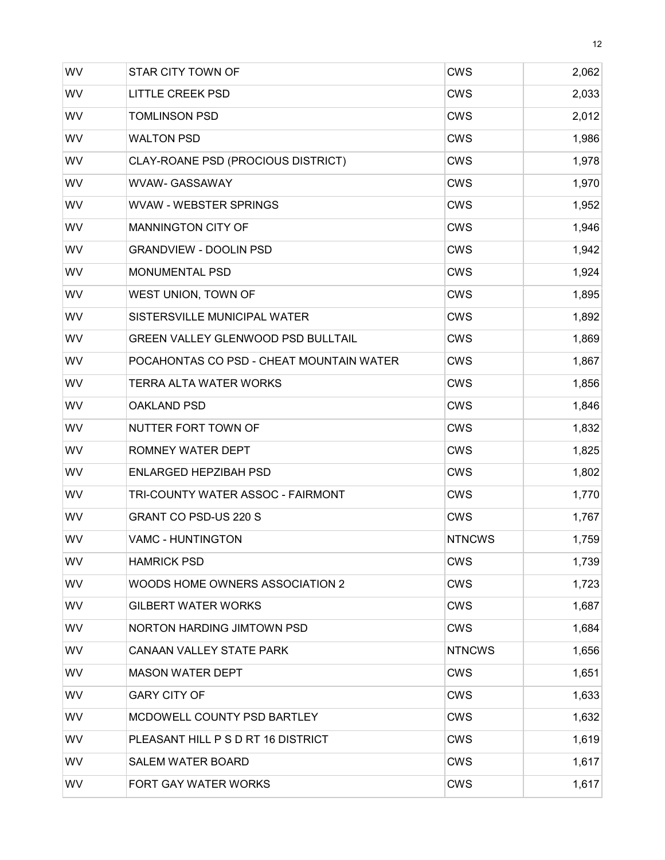| WV        | <b>STAR CITY TOWN OF</b>                  | <b>CWS</b>    | 2,062 |
|-----------|-------------------------------------------|---------------|-------|
| WV        | <b>LITTLE CREEK PSD</b>                   | <b>CWS</b>    | 2,033 |
| WV        | <b>TOMLINSON PSD</b>                      | <b>CWS</b>    | 2,012 |
| WV        | <b>WALTON PSD</b>                         | <b>CWS</b>    | 1,986 |
| WV        | CLAY-ROANE PSD (PROCIOUS DISTRICT)        | <b>CWS</b>    | 1,978 |
| WV        | WVAW- GASSAWAY                            | <b>CWS</b>    | 1,970 |
| WV        | <b>WVAW - WEBSTER SPRINGS</b>             | <b>CWS</b>    | 1,952 |
| WV        | MANNINGTON CITY OF                        | <b>CWS</b>    | 1,946 |
| WV        | <b>GRANDVIEW - DOOLIN PSD</b>             | <b>CWS</b>    | 1,942 |
| WV        | <b>MONUMENTAL PSD</b>                     | <b>CWS</b>    | 1,924 |
| WV        | WEST UNION, TOWN OF                       | <b>CWS</b>    | 1,895 |
| WV        | SISTERSVILLE MUNICIPAL WATER              | <b>CWS</b>    | 1,892 |
| WV        | <b>GREEN VALLEY GLENWOOD PSD BULLTAIL</b> | <b>CWS</b>    | 1,869 |
| WV        | POCAHONTAS CO PSD - CHEAT MOUNTAIN WATER  | <b>CWS</b>    | 1,867 |
| WV        | TERRA ALTA WATER WORKS                    | <b>CWS</b>    | 1,856 |
| WV        | <b>OAKLAND PSD</b>                        | <b>CWS</b>    | 1,846 |
| WV        | NUTTER FORT TOWN OF                       | <b>CWS</b>    | 1,832 |
| WV        | ROMNEY WATER DEPT                         | <b>CWS</b>    | 1,825 |
| WV        | <b>ENLARGED HEPZIBAH PSD</b>              | <b>CWS</b>    | 1,802 |
| WV        | TRI-COUNTY WATER ASSOC - FAIRMONT         | <b>CWS</b>    | 1,770 |
| WV        | <b>GRANT CO PSD-US 220 S</b>              | <b>CWS</b>    | 1,767 |
| WV        | <b>VAMC - HUNTINGTON</b>                  | <b>NTNCWS</b> | 1,759 |
| WV        | <b>HAMRICK PSD</b>                        | <b>CWS</b>    | 1,739 |
| WV        | WOODS HOME OWNERS ASSOCIATION 2           | <b>CWS</b>    | 1,723 |
| <b>WV</b> | <b>GILBERT WATER WORKS</b>                | CWS           | 1,687 |
| <b>WV</b> | <b>NORTON HARDING JIMTOWN PSD</b>         | <b>CWS</b>    | 1,684 |
| <b>WV</b> | <b>CANAAN VALLEY STATE PARK</b>           | <b>NTNCWS</b> | 1,656 |
| WV        | <b>MASON WATER DEPT</b>                   | <b>CWS</b>    | 1,651 |
| <b>WV</b> | <b>GARY CITY OF</b>                       | CWS           | 1,633 |
| WV        | MCDOWELL COUNTY PSD BARTLEY               | <b>CWS</b>    | 1,632 |
| WV        | PLEASANT HILL P S D RT 16 DISTRICT        | <b>CWS</b>    | 1,619 |
| <b>WV</b> | <b>SALEM WATER BOARD</b>                  | <b>CWS</b>    | 1,617 |
| WV        | <b>FORT GAY WATER WORKS</b>               | <b>CWS</b>    | 1,617 |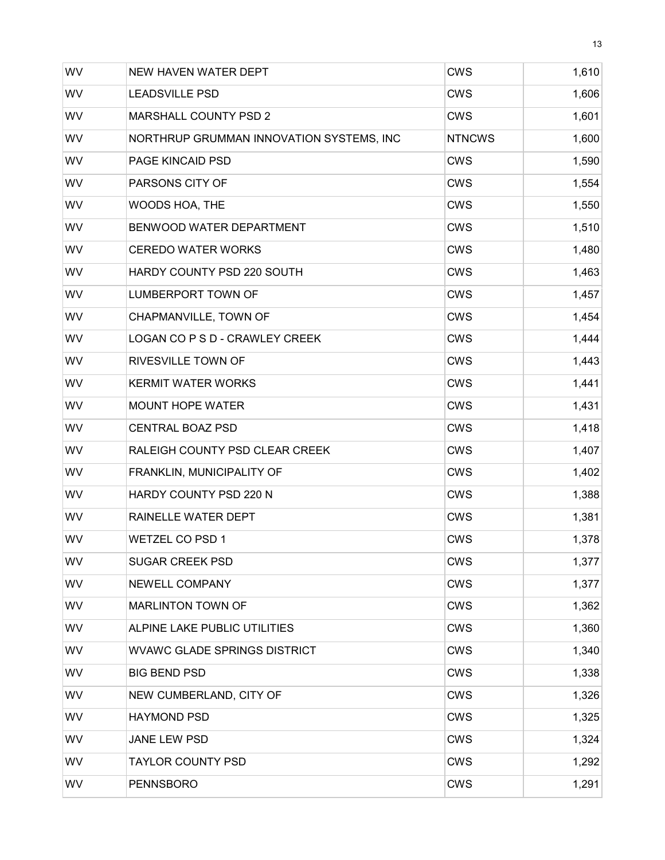| WV        | NEW HAVEN WATER DEPT                     | <b>CWS</b>    | 1,610 |
|-----------|------------------------------------------|---------------|-------|
| WV        | <b>LEADSVILLE PSD</b>                    | <b>CWS</b>    | 1,606 |
| WV        | MARSHALL COUNTY PSD 2                    | <b>CWS</b>    | 1,601 |
| WV        | NORTHRUP GRUMMAN INNOVATION SYSTEMS, INC | <b>NTNCWS</b> | 1,600 |
| WV        | PAGE KINCAID PSD                         | <b>CWS</b>    | 1,590 |
| WV        | PARSONS CITY OF                          | <b>CWS</b>    | 1,554 |
| WV        | WOODS HOA, THE                           | <b>CWS</b>    | 1,550 |
| WV        | BENWOOD WATER DEPARTMENT                 | <b>CWS</b>    | 1,510 |
| WV        | <b>CEREDO WATER WORKS</b>                | <b>CWS</b>    | 1,480 |
| WV        | HARDY COUNTY PSD 220 SOUTH               | <b>CWS</b>    | 1,463 |
| WV        | LUMBERPORT TOWN OF                       | <b>CWS</b>    | 1,457 |
| WV        | CHAPMANVILLE, TOWN OF                    | <b>CWS</b>    | 1,454 |
| WV        | LOGAN CO P S D - CRAWLEY CREEK           | <b>CWS</b>    | 1,444 |
| WV        | RIVESVILLE TOWN OF                       | <b>CWS</b>    | 1,443 |
| WV        | <b>KERMIT WATER WORKS</b>                | <b>CWS</b>    | 1,441 |
| WV        | <b>MOUNT HOPE WATER</b>                  | <b>CWS</b>    | 1,431 |
| WV        | <b>CENTRAL BOAZ PSD</b>                  | <b>CWS</b>    | 1,418 |
| WV        | RALEIGH COUNTY PSD CLEAR CREEK           | <b>CWS</b>    | 1,407 |
| WV        | FRANKLIN, MUNICIPALITY OF                | <b>CWS</b>    | 1,402 |
| WV        | HARDY COUNTY PSD 220 N                   | <b>CWS</b>    | 1,388 |
| WV        | RAINELLE WATER DEPT                      | <b>CWS</b>    | 1,381 |
| WV        | <b>WETZEL CO PSD 1</b>                   | <b>CWS</b>    | 1,378 |
| WV        | <b>SUGAR CREEK PSD</b>                   | <b>CWS</b>    | 1,377 |
| WV        | NEWELL COMPANY                           | <b>CWS</b>    | 1,377 |
| <b>WV</b> | <b>MARLINTON TOWN OF</b>                 | <b>CWS</b>    | 1,362 |
| WV        | ALPINE LAKE PUBLIC UTILITIES             | <b>CWS</b>    | 1,360 |
| <b>WV</b> | <b>WVAWC GLADE SPRINGS DISTRICT</b>      | <b>CWS</b>    | 1,340 |
| WV        | <b>BIG BEND PSD</b>                      | <b>CWS</b>    | 1,338 |
| <b>WV</b> | NEW CUMBERLAND, CITY OF                  | <b>CWS</b>    | 1,326 |
| WV        | <b>HAYMOND PSD</b>                       | <b>CWS</b>    | 1,325 |
| WV        | JANE LEW PSD                             | <b>CWS</b>    | 1,324 |
| <b>WV</b> | <b>TAYLOR COUNTY PSD</b>                 | <b>CWS</b>    | 1,292 |
| WV        | <b>PENNSBORO</b>                         | <b>CWS</b>    | 1,291 |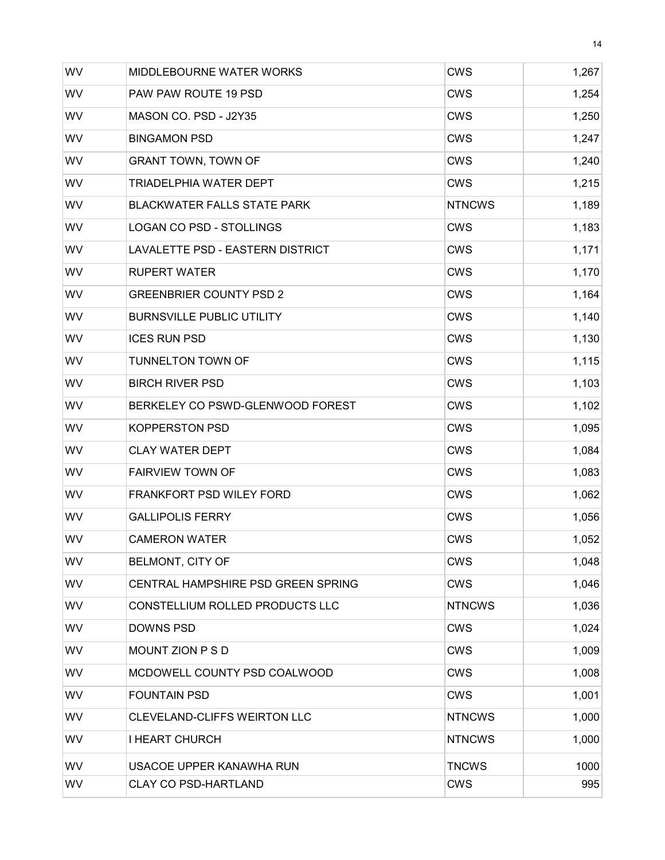| WV        | <b>MIDDLEBOURNE WATER WORKS</b>     | <b>CWS</b>    | 1,267 |
|-----------|-------------------------------------|---------------|-------|
| WV        | PAW PAW ROUTE 19 PSD                | <b>CWS</b>    | 1,254 |
| WV        | MASON CO. PSD - J2Y35               | <b>CWS</b>    | 1,250 |
| WV        | <b>BINGAMON PSD</b>                 | <b>CWS</b>    | 1,247 |
| WV        | <b>GRANT TOWN, TOWN OF</b>          | CWS           | 1,240 |
| WV        | TRIADELPHIA WATER DEPT              | <b>CWS</b>    | 1,215 |
| WV        | <b>BLACKWATER FALLS STATE PARK</b>  | <b>NTNCWS</b> | 1,189 |
| WV        | <b>LOGAN CO PSD - STOLLINGS</b>     | <b>CWS</b>    | 1,183 |
| <b>WV</b> | LAVALETTE PSD - EASTERN DISTRICT    | CWS           | 1,171 |
| WV        | <b>RUPERT WATER</b>                 | <b>CWS</b>    | 1,170 |
| WV        | <b>GREENBRIER COUNTY PSD 2</b>      | <b>CWS</b>    | 1,164 |
| WV        | <b>BURNSVILLE PUBLIC UTILITY</b>    | <b>CWS</b>    | 1,140 |
| WV        | <b>ICES RUN PSD</b>                 | <b>CWS</b>    | 1,130 |
| WV        | <b>TUNNELTON TOWN OF</b>            | <b>CWS</b>    | 1,115 |
| WV        | <b>BIRCH RIVER PSD</b>              | CWS           | 1,103 |
| WV        | BERKELEY CO PSWD-GLENWOOD FOREST    | CWS           | 1,102 |
| WV        | <b>KOPPERSTON PSD</b>               | CWS           | 1,095 |
| WV        | <b>CLAY WATER DEPT</b>              | <b>CWS</b>    | 1,084 |
| WV        | <b>FAIRVIEW TOWN OF</b>             | <b>CWS</b>    | 1,083 |
| WV        | <b>FRANKFORT PSD WILEY FORD</b>     | CWS           | 1,062 |
| WV        | <b>GALLIPOLIS FERRY</b>             | <b>CWS</b>    | 1,056 |
| WV        | <b>CAMERON WATER</b>                | <b>CWS</b>    | 1,052 |
| WV        | BELMONT, CITY OF                    | <b>CWS</b>    | 1,048 |
| WV        | CENTRAL HAMPSHIRE PSD GREEN SPRING  | <b>CWS</b>    | 1,046 |
| <b>WV</b> | CONSTELLIUM ROLLED PRODUCTS LLC     | <b>NTNCWS</b> | 1,036 |
| WV        | <b>DOWNS PSD</b>                    | <b>CWS</b>    | 1,024 |
| <b>WV</b> | MOUNT ZION P S D                    | <b>CWS</b>    | 1,009 |
| WV        | MCDOWELL COUNTY PSD COALWOOD        | <b>CWS</b>    | 1,008 |
| WV        | <b>FOUNTAIN PSD</b>                 | <b>CWS</b>    | 1,001 |
| WV        | <b>CLEVELAND-CLIFFS WEIRTON LLC</b> | <b>NTNCWS</b> | 1,000 |
| WV        | <b>I HEART CHURCH</b>               | <b>NTNCWS</b> | 1,000 |
| <b>WV</b> | USACOE UPPER KANAWHA RUN            | <b>TNCWS</b>  | 1000  |
| WV        | <b>CLAY CO PSD-HARTLAND</b>         | <b>CWS</b>    | 995   |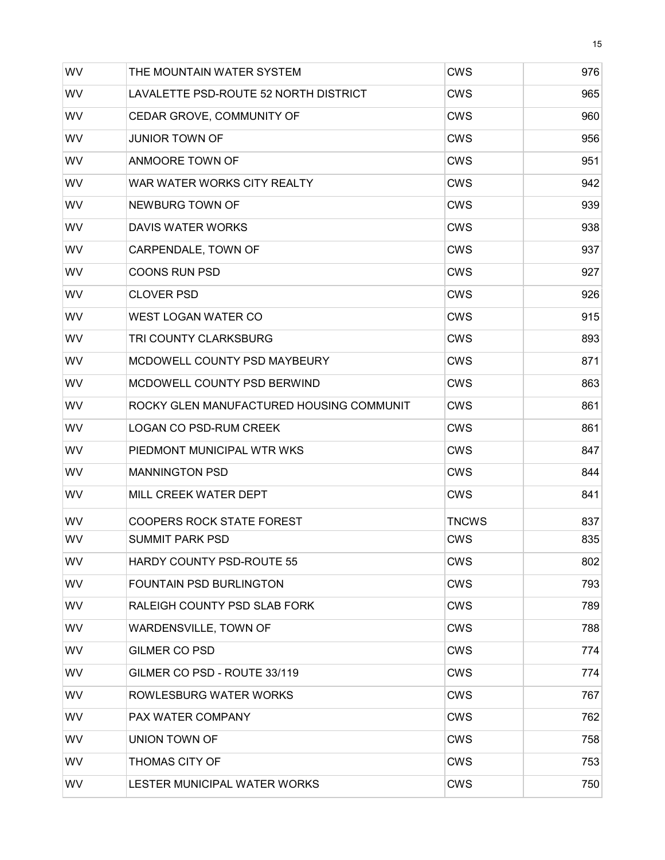| WV        | THE MOUNTAIN WATER SYSTEM                | <b>CWS</b>   | 976 |
|-----------|------------------------------------------|--------------|-----|
| <b>WV</b> | LAVALETTE PSD-ROUTE 52 NORTH DISTRICT    | CWS          | 965 |
| <b>WV</b> | CEDAR GROVE, COMMUNITY OF                | <b>CWS</b>   | 960 |
| <b>WV</b> | <b>JUNIOR TOWN OF</b>                    | <b>CWS</b>   | 956 |
| WV        | ANMOORE TOWN OF                          | <b>CWS</b>   | 951 |
| WV        | WAR WATER WORKS CITY REALTY              | CWS          | 942 |
| WV        | NEWBURG TOWN OF                          | <b>CWS</b>   | 939 |
| <b>WV</b> | DAVIS WATER WORKS                        | <b>CWS</b>   | 938 |
| <b>WV</b> | CARPENDALE, TOWN OF                      | CWS          | 937 |
| WV        | <b>COONS RUN PSD</b>                     | <b>CWS</b>   | 927 |
| WV        | <b>CLOVER PSD</b>                        | <b>CWS</b>   | 926 |
| WV        | WEST LOGAN WATER CO                      | <b>CWS</b>   | 915 |
| WV        | TRI COUNTY CLARKSBURG                    | <b>CWS</b>   | 893 |
| <b>WV</b> | MCDOWELL COUNTY PSD MAYBEURY             | <b>CWS</b>   | 871 |
| <b>WV</b> | MCDOWELL COUNTY PSD BERWIND              | CWS          | 863 |
| <b>WV</b> | ROCKY GLEN MANUFACTURED HOUSING COMMUNIT | CWS          | 861 |
| WV        | <b>LOGAN CO PSD-RUM CREEK</b>            | <b>CWS</b>   | 861 |
| WV        | PIEDMONT MUNICIPAL WTR WKS               | CWS          | 847 |
| WV        | <b>MANNINGTON PSD</b>                    | <b>CWS</b>   | 844 |
| <b>WV</b> | MILL CREEK WATER DEPT                    | <b>CWS</b>   | 841 |
| WV        | <b>COOPERS ROCK STATE FOREST</b>         | <b>TNCWS</b> | 837 |
| WV        | <b>SUMMIT PARK PSD</b>                   | <b>CWS</b>   | 835 |
| <b>WV</b> | HARDY COUNTY PSD-ROUTE 55                | <b>CWS</b>   | 802 |
| WV        | FOUNTAIN PSD BURLINGTON                  | <b>CWS</b>   | 793 |
| <b>WV</b> | RALEIGH COUNTY PSD SLAB FORK             | CWS          | 789 |
| <b>WV</b> | WARDENSVILLE, TOWN OF                    | <b>CWS</b>   | 788 |
| WV        | <b>GILMER CO PSD</b>                     | <b>CWS</b>   | 774 |
| WV        | GILMER CO PSD - ROUTE 33/119             | <b>CWS</b>   | 774 |
| <b>WV</b> | ROWLESBURG WATER WORKS                   | <b>CWS</b>   | 767 |
| WV        | PAX WATER COMPANY                        | <b>CWS</b>   | 762 |
| WV        | <b>UNION TOWN OF</b>                     | <b>CWS</b>   | 758 |
| <b>WV</b> | <b>THOMAS CITY OF</b>                    | <b>CWS</b>   | 753 |
| WV        | LESTER MUNICIPAL WATER WORKS             | <b>CWS</b>   | 750 |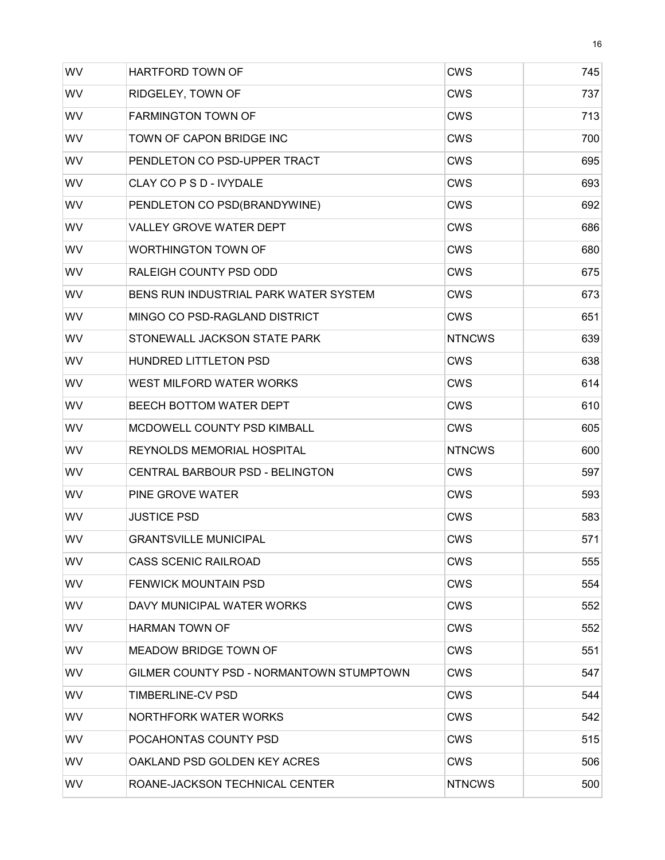| WV        | HARTFORD TOWN OF                         | <b>CWS</b>    | 745 |
|-----------|------------------------------------------|---------------|-----|
| WV        | RIDGELEY, TOWN OF                        | <b>CWS</b>    | 737 |
| WV        | <b>FARMINGTON TOWN OF</b>                | <b>CWS</b>    | 713 |
| WV        | TOWN OF CAPON BRIDGE INC                 | <b>CWS</b>    | 700 |
| WV        | PENDLETON CO PSD-UPPER TRACT             | <b>CWS</b>    | 695 |
| WV        | CLAY CO P S D - IVYDALE                  | <b>CWS</b>    | 693 |
| WV        | PENDLETON CO PSD(BRANDYWINE)             | <b>CWS</b>    | 692 |
| WV        | <b>VALLEY GROVE WATER DEPT</b>           | <b>CWS</b>    | 686 |
| WV        | <b>WORTHINGTON TOWN OF</b>               | CWS           | 680 |
| WV        | RALEIGH COUNTY PSD ODD                   | <b>CWS</b>    | 675 |
| WV        | BENS RUN INDUSTRIAL PARK WATER SYSTEM    | <b>CWS</b>    | 673 |
| WV        | MINGO CO PSD-RAGLAND DISTRICT            | <b>CWS</b>    | 651 |
| WV        | STONEWALL JACKSON STATE PARK             | <b>NTNCWS</b> | 639 |
| WV        | HUNDRED LITTLETON PSD                    | <b>CWS</b>    | 638 |
| WV        | WEST MILFORD WATER WORKS                 | CWS           | 614 |
| WV        | BEECH BOTTOM WATER DEPT                  | <b>CWS</b>    | 610 |
| WV        | MCDOWELL COUNTY PSD KIMBALL              | <b>CWS</b>    | 605 |
| WV        | REYNOLDS MEMORIAL HOSPITAL               | <b>NTNCWS</b> | 600 |
| WV        | CENTRAL BARBOUR PSD - BELINGTON          | <b>CWS</b>    | 597 |
| WV        | PINE GROVE WATER                         | CWS           | 593 |
| WV        | <b>JUSTICE PSD</b>                       | <b>CWS</b>    | 583 |
| WV        | <b>GRANTSVILLE MUNICIPAL</b>             | <b>CWS</b>    | 571 |
| WV        | <b>CASS SCENIC RAILROAD</b>              | <b>CWS</b>    | 555 |
| <b>WV</b> | <b>FENWICK MOUNTAIN PSD</b>              | CWS           | 554 |
| WV.       | DAVY MUNICIPAL WATER WORKS               | <b>CWS</b>    | 552 |
| WV.       | <b>HARMAN TOWN OF</b>                    | CWS           | 552 |
| WV.       | MEADOW BRIDGE TOWN OF                    | CWS           | 551 |
| WV        | GILMER COUNTY PSD - NORMANTOWN STUMPTOWN | CWS           | 547 |
| WV.       | TIMBERLINE-CV PSD                        | CWS           | 544 |
| WV.       | <b>NORTHFORK WATER WORKS</b>             | <b>CWS</b>    | 542 |
| WV        | POCAHONTAS COUNTY PSD                    | CWS           | 515 |
| WV.       | OAKLAND PSD GOLDEN KEY ACRES             | <b>CWS</b>    | 506 |
| WV        | ROANE-JACKSON TECHNICAL CENTER           | <b>NTNCWS</b> | 500 |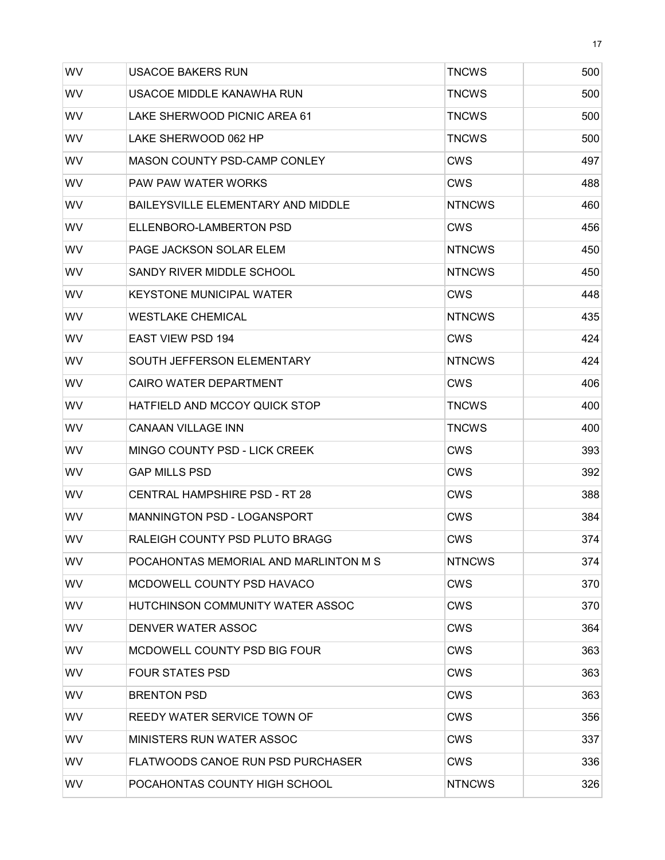| WV        | USACOE BAKERS RUN                         | <b>TNCWS</b>  | 500 |
|-----------|-------------------------------------------|---------------|-----|
| <b>WV</b> | USACOE MIDDLE KANAWHA RUN                 | <b>TNCWS</b>  | 500 |
| WV        | LAKE SHERWOOD PICNIC AREA 61              | <b>TNCWS</b>  | 500 |
| <b>WV</b> | LAKE SHERWOOD 062 HP                      | <b>TNCWS</b>  | 500 |
| WV        | <b>MASON COUNTY PSD-CAMP CONLEY</b>       | <b>CWS</b>    | 497 |
| WV        | <b>PAW PAW WATER WORKS</b>                | <b>CWS</b>    | 488 |
| <b>WV</b> | <b>BAILEYSVILLE ELEMENTARY AND MIDDLE</b> | <b>NTNCWS</b> | 460 |
| <b>WV</b> | ELLENBORO-LAMBERTON PSD                   | <b>CWS</b>    | 456 |
| <b>WV</b> | PAGE JACKSON SOLAR ELEM                   | <b>NTNCWS</b> | 450 |
| <b>WV</b> | SANDY RIVER MIDDLE SCHOOL                 | <b>NTNCWS</b> | 450 |
| WV        | <b>KEYSTONE MUNICIPAL WATER</b>           | <b>CWS</b>    | 448 |
| WV        | <b>WESTLAKE CHEMICAL</b>                  | <b>NTNCWS</b> | 435 |
| <b>WV</b> | <b>EAST VIEW PSD 194</b>                  | <b>CWS</b>    | 424 |
| <b>WV</b> | SOUTH JEFFERSON ELEMENTARY                | <b>NTNCWS</b> | 424 |
| <b>WV</b> | <b>CAIRO WATER DEPARTMENT</b>             | <b>CWS</b>    | 406 |
| <b>WV</b> | <b>HATFIELD AND MCCOY QUICK STOP</b>      | TNCWS         | 400 |
| WV        | <b>CANAAN VILLAGE INN</b>                 | <b>TNCWS</b>  | 400 |
| WV        | <b>MINGO COUNTY PSD - LICK CREEK</b>      | <b>CWS</b>    | 393 |
| <b>WV</b> | <b>GAP MILLS PSD</b>                      | <b>CWS</b>    | 392 |
| <b>WV</b> | <b>CENTRAL HAMPSHIRE PSD - RT 28</b>      | <b>CWS</b>    | 388 |
| <b>WV</b> | <b>MANNINGTON PSD - LOGANSPORT</b>        | <b>CWS</b>    | 384 |
| <b>WV</b> | RALEIGH COUNTY PSD PLUTO BRAGG            | <b>CWS</b>    | 374 |
| WV        | POCAHONTAS MEMORIAL AND MARLINTON M S     | <b>NTNCWS</b> | 374 |
| WV        | MCDOWELL COUNTY PSD HAVACO                | CWS           | 370 |
| <b>WV</b> | HUTCHINSON COMMUNITY WATER ASSOC          | <b>CWS</b>    | 370 |
| <b>WV</b> | DENVER WATER ASSOC                        | CWS           | 364 |
| <b>WV</b> | MCDOWELL COUNTY PSD BIG FOUR              | CWS           | 363 |
| <b>WV</b> | <b>FOUR STATES PSD</b>                    | CWS           | 363 |
| WV        | <b>BRENTON PSD</b>                        | CWS           | 363 |
| <b>WV</b> | REEDY WATER SERVICE TOWN OF               | <b>CWS</b>    | 356 |
| <b>WV</b> | <b>MINISTERS RUN WATER ASSOC</b>          | <b>CWS</b>    | 337 |
| <b>WV</b> | FLATWOODS CANOE RUN PSD PURCHASER         | <b>CWS</b>    | 336 |
| WV        | POCAHONTAS COUNTY HIGH SCHOOL             | <b>NTNCWS</b> | 326 |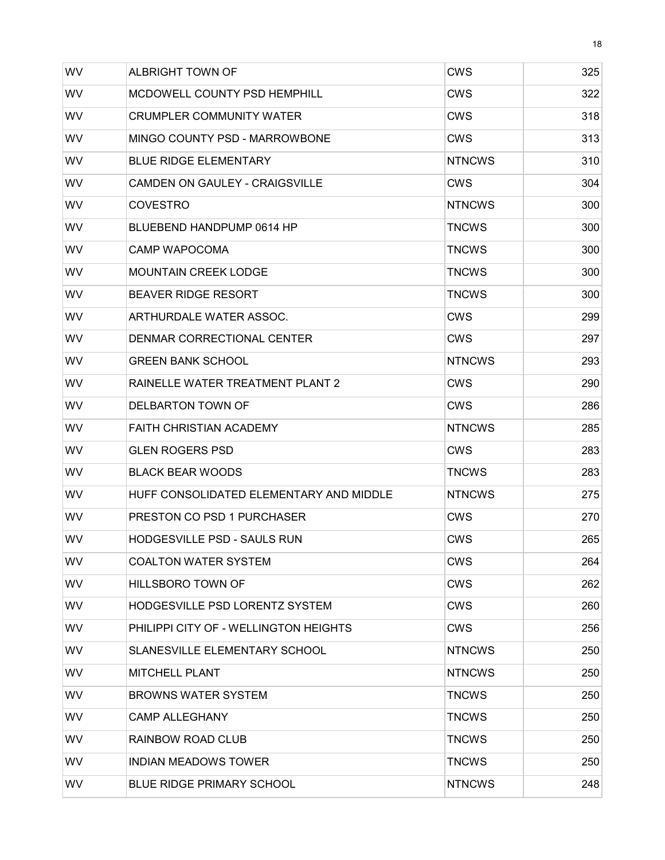| WV        | ALBRIGHT TOWN OF                        | <b>CWS</b>    | 325 |
|-----------|-----------------------------------------|---------------|-----|
| <b>WV</b> | MCDOWELL COUNTY PSD HEMPHILL            | CWS           | 322 |
| WV        | <b>CRUMPLER COMMUNITY WATER</b>         | CWS           | 318 |
| WV        | MINGO COUNTY PSD - MARROWBONE           | CWS           | 313 |
| <b>WV</b> | <b>BLUE RIDGE ELEMENTARY</b>            | <b>NTNCWS</b> | 310 |
| <b>WV</b> | CAMDEN ON GAULEY - CRAIGSVILLE          | CWS           | 304 |
| WV        | <b>COVESTRO</b>                         | <b>NTNCWS</b> | 300 |
| WV        | BLUEBEND HANDPUMP 0614 HP               | <b>TNCWS</b>  | 300 |
| WV        | <b>CAMP WAPOCOMA</b>                    | <b>TNCWS</b>  | 300 |
| WV        | <b>MOUNTAIN CREEK LODGE</b>             | <b>TNCWS</b>  | 300 |
| WV        | <b>BEAVER RIDGE RESORT</b>              | <b>TNCWS</b>  | 300 |
| <b>WV</b> | ARTHURDALE WATER ASSOC.                 | CWS           | 299 |
| <b>WV</b> | DENMAR CORRECTIONAL CENTER              | <b>CWS</b>    | 297 |
| <b>WV</b> | <b>GREEN BANK SCHOOL</b>                | <b>NTNCWS</b> | 293 |
| WV        | RAINELLE WATER TREATMENT PLANT 2        | CWS           | 290 |
| <b>WV</b> | DELBARTON TOWN OF                       | CWS           | 286 |
| <b>WV</b> | <b>FAITH CHRISTIAN ACADEMY</b>          | <b>NTNCWS</b> | 285 |
| WV        | <b>GLEN ROGERS PSD</b>                  | CWS           | 283 |
| <b>WV</b> | <b>BLACK BEAR WOODS</b>                 | <b>TNCWS</b>  | 283 |
| WV        | HUFF CONSOLIDATED ELEMENTARY AND MIDDLE | <b>NTNCWS</b> | 275 |
| <b>WV</b> | PRESTON CO PSD 1 PURCHASER              | CWS           | 270 |
| WV        | <b>HODGESVILLE PSD - SAULS RUN</b>      | <b>CWS</b>    | 265 |
| WV.       | <b>COALTON WATER SYSTEM</b>             | <b>CWS</b>    | 264 |
| WV        | HILLSBORO TOWN OF                       | CWS           | 262 |
| WV.       | <b>HODGESVILLE PSD LORENTZ SYSTEM</b>   | <b>CWS</b>    | 260 |
| WV        | PHILIPPI CITY OF - WELLINGTON HEIGHTS   | <b>CWS</b>    | 256 |
| WV        | SLANESVILLE ELEMENTARY SCHOOL           | <b>NTNCWS</b> | 250 |
| <b>WV</b> | <b>MITCHELL PLANT</b>                   | <b>NTNCWS</b> | 250 |
| WV.       | <b>BROWNS WATER SYSTEM</b>              | <b>TNCWS</b>  | 250 |
| WV.       | <b>CAMP ALLEGHANY</b>                   | <b>TNCWS</b>  | 250 |
| WV.       | RAINBOW ROAD CLUB                       | <b>TNCWS</b>  | 250 |
| WV.       | <b>INDIAN MEADOWS TOWER</b>             | <b>TNCWS</b>  | 250 |
| WV        | <b>BLUE RIDGE PRIMARY SCHOOL</b>        | <b>NTNCWS</b> | 248 |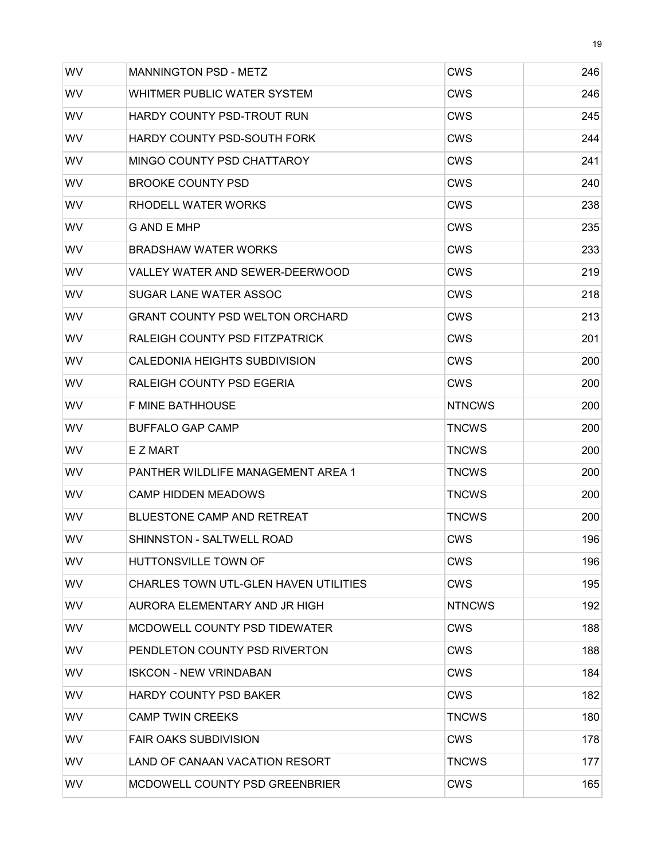| <b>WV</b> | <b>MANNINGTON PSD - METZ</b>           | <b>CWS</b>    | 246 |
|-----------|----------------------------------------|---------------|-----|
| WV        | WHITMER PUBLIC WATER SYSTEM            | CWS           | 246 |
| <b>WV</b> | HARDY COUNTY PSD-TROUT RUN             | CWS           | 245 |
| WV        | <b>HARDY COUNTY PSD-SOUTH FORK</b>     | CWS           | 244 |
| <b>WV</b> | MINGO COUNTY PSD CHATTAROY             | CWS           | 241 |
| WV        | BROOKE COUNTY PSD                      | CWS           | 240 |
| <b>WV</b> | RHODELL WATER WORKS                    | <b>CWS</b>    | 238 |
| WV        | G AND E MHP                            | CWS           | 235 |
| <b>WV</b> | <b>BRADSHAW WATER WORKS</b>            | CWS           | 233 |
| WV        | VALLEY WATER AND SEWER-DEERWOOD        | CWS           | 219 |
| <b>WV</b> | SUGAR LANE WATER ASSOC                 | CWS           | 218 |
| <b>WV</b> | <b>GRANT COUNTY PSD WELTON ORCHARD</b> | CWS           | 213 |
| <b>WV</b> | RALEIGH COUNTY PSD FITZPATRICK         | CWS           | 201 |
| WV        | CALEDONIA HEIGHTS SUBDIVISION          | <b>CWS</b>    | 200 |
| <b>WV</b> | RALEIGH COUNTY PSD EGERIA              | <b>CWS</b>    | 200 |
| <b>WV</b> | <b>F MINE BATHHOUSE</b>                | <b>NTNCWS</b> | 200 |
| <b>WV</b> | <b>BUFFALO GAP CAMP</b>                | <b>TNCWS</b>  | 200 |
| WV        | E Z MART                               | <b>TNCWS</b>  | 200 |
| <b>WV</b> | PANTHER WILDLIFE MANAGEMENT AREA 1     | <b>TNCWS</b>  | 200 |
| <b>WV</b> | <b>CAMP HIDDEN MEADOWS</b>             | <b>TNCWS</b>  | 200 |
| <b>WV</b> | <b>BLUESTONE CAMP AND RETREAT</b>      | <b>TNCWS</b>  | 200 |
| WV        | SHINNSTON - SALTWELL ROAD              | <b>CWS</b>    | 196 |
| <b>WV</b> | <b>HUTTONSVILLE TOWN OF</b>            | <b>CWS</b>    | 196 |
| WV        | CHARLES TOWN UTL-GLEN HAVEN UTILITIES  | <b>CWS</b>    | 195 |
| <b>WV</b> | AURORA ELEMENTARY AND JR HIGH          | <b>NTNCWS</b> | 192 |
| <b>WV</b> | MCDOWELL COUNTY PSD TIDEWATER          |               |     |
|           |                                        | CWS           | 188 |
| WV.       | PENDLETON COUNTY PSD RIVERTON          | <b>CWS</b>    | 188 |
| WV        | <b>ISKCON - NEW VRINDABAN</b>          | <b>CWS</b>    | 184 |
| WV.       | <b>HARDY COUNTY PSD BAKER</b>          | CWS           | 182 |
| WV        | <b>CAMP TWIN CREEKS</b>                | <b>TNCWS</b>  | 180 |
| WV        | <b>FAIR OAKS SUBDIVISION</b>           | CWS           | 178 |
| WV.       | LAND OF CANAAN VACATION RESORT         | <b>TNCWS</b>  | 177 |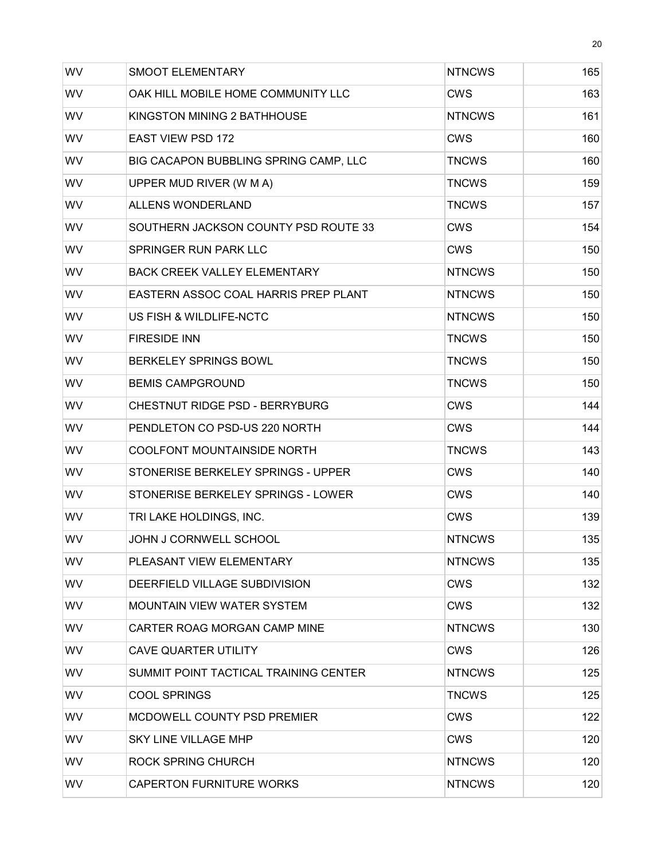| WV        | <b>SMOOT ELEMENTARY</b>               | <b>NTNCWS</b> | 165 |
|-----------|---------------------------------------|---------------|-----|
| WV        | OAK HILL MOBILE HOME COMMUNITY LLC    | CWS           | 163 |
| WV        | KINGSTON MINING 2 BATHHOUSE           | <b>NTNCWS</b> | 161 |
| WV        | <b>EAST VIEW PSD 172</b>              | CWS           | 160 |
| WV        | BIG CACAPON BUBBLING SPRING CAMP, LLC | <b>TNCWS</b>  | 160 |
| WV        | UPPER MUD RIVER (W M A)               | <b>TNCWS</b>  | 159 |
| WV        | ALLENS WONDERLAND                     | <b>TNCWS</b>  | 157 |
| WV        | SOUTHERN JACKSON COUNTY PSD ROUTE 33  | <b>CWS</b>    | 154 |
| WV        | SPRINGER RUN PARK LLC                 | CWS           | 150 |
| WV        | <b>BACK CREEK VALLEY ELEMENTARY</b>   | <b>NTNCWS</b> | 150 |
| WV        | EASTERN ASSOC COAL HARRIS PREP PLANT  | <b>NTNCWS</b> | 150 |
| WV        | US FISH & WILDLIFE-NCTC               | <b>NTNCWS</b> | 150 |
| WV        | <b>FIRESIDE INN</b>                   | <b>TNCWS</b>  | 150 |
| WV        | <b>BERKELEY SPRINGS BOWL</b>          | <b>TNCWS</b>  | 150 |
| WV        | <b>BEMIS CAMPGROUND</b>               | <b>TNCWS</b>  | 150 |
| WV        | CHESTNUT RIDGE PSD - BERRYBURG        | <b>CWS</b>    | 144 |
| WV        | PENDLETON CO PSD-US 220 NORTH         | <b>CWS</b>    | 144 |
| WV        | COOLFONT MOUNTAINSIDE NORTH           | <b>TNCWS</b>  | 143 |
| WV        | STONERISE BERKELEY SPRINGS - UPPER    | <b>CWS</b>    | 140 |
| WV        | STONERISE BERKELEY SPRINGS - LOWER    | <b>CWS</b>    | 140 |
| WV        | TRI LAKE HOLDINGS, INC.               | <b>CWS</b>    | 139 |
| WV        | JOHN J CORNWELL SCHOOL                | <b>NTNCWS</b> | 135 |
| <b>WV</b> | PLEASANT VIEW ELEMENTARY              | <b>NTNCWS</b> | 135 |
| WV        | DEERFIELD VILLAGE SUBDIVISION         | CWS           | 132 |
| <b>WV</b> | <b>MOUNTAIN VIEW WATER SYSTEM</b>     | <b>CWS</b>    | 132 |
| <b>WV</b> | CARTER ROAG MORGAN CAMP MINE          | <b>NTNCWS</b> | 130 |
| <b>WV</b> | <b>CAVE QUARTER UTILITY</b>           | CWS           | 126 |
| <b>WV</b> | SUMMIT POINT TACTICAL TRAINING CENTER | <b>NTNCWS</b> | 125 |
| <b>WV</b> | <b>COOL SPRINGS</b>                   | <b>TNCWS</b>  | 125 |
| WV        | MCDOWELL COUNTY PSD PREMIER           | CWS           | 122 |
| <b>WV</b> | <b>SKY LINE VILLAGE MHP</b>           | CWS           | 120 |
| <b>WV</b> | ROCK SPRING CHURCH                    | <b>NTNCWS</b> | 120 |
| WV        | <b>CAPERTON FURNITURE WORKS</b>       | <b>NTNCWS</b> | 120 |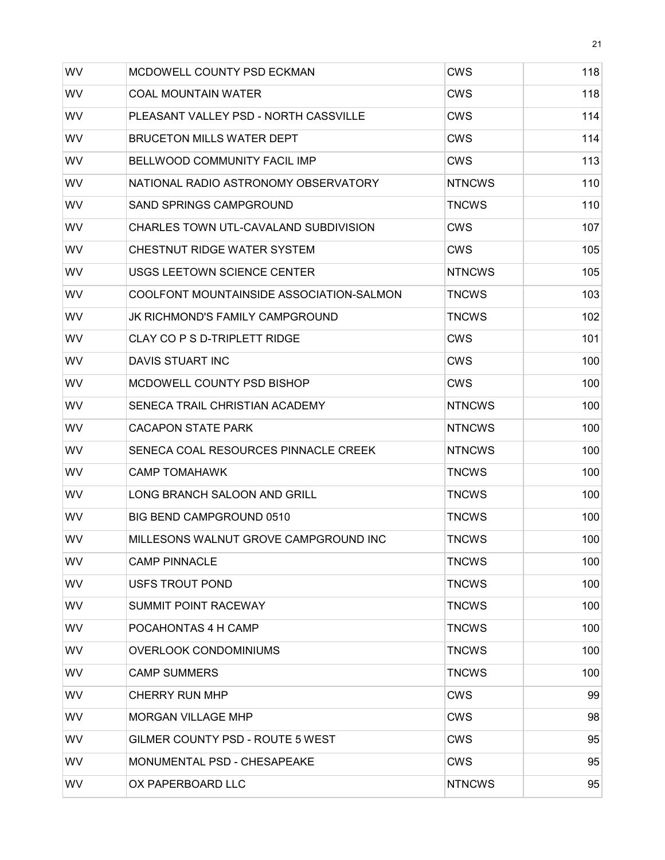| WV        | MCDOWELL COUNTY PSD ECKMAN               | <b>CWS</b>    | 118 |
|-----------|------------------------------------------|---------------|-----|
| <b>WV</b> | <b>COAL MOUNTAIN WATER</b>               | CWS           | 118 |
| <b>WV</b> | PLEASANT VALLEY PSD - NORTH CASSVILLE    | CWS           | 114 |
| <b>WV</b> | <b>BRUCETON MILLS WATER DEPT</b>         | <b>CWS</b>    | 114 |
| WV        | <b>BELLWOOD COMMUNITY FACIL IMP</b>      | CWS           | 113 |
| WV        | NATIONAL RADIO ASTRONOMY OBSERVATORY     | <b>NTNCWS</b> | 110 |
| WV        | <b>SAND SPRINGS CAMPGROUND</b>           | <b>TNCWS</b>  | 110 |
| <b>WV</b> | CHARLES TOWN UTL-CAVALAND SUBDIVISION    | <b>CWS</b>    | 107 |
| WV        | CHESTNUT RIDGE WATER SYSTEM              | CWS           | 105 |
| WV        | USGS LEETOWN SCIENCE CENTER              | <b>NTNCWS</b> | 105 |
| WV        | COOLFONT MOUNTAINSIDE ASSOCIATION-SALMON | <b>TNCWS</b>  | 103 |
| WV        | JK RICHMOND'S FAMILY CAMPGROUND          | <b>TNCWS</b>  | 102 |
| WV        | CLAY CO P S D-TRIPLETT RIDGE             | <b>CWS</b>    | 101 |
| <b>WV</b> | DAVIS STUART INC                         | <b>CWS</b>    | 100 |
| <b>WV</b> | MCDOWELL COUNTY PSD BISHOP               | CWS           | 100 |
| <b>WV</b> | SENECA TRAIL CHRISTIAN ACADEMY           | <b>NTNCWS</b> | 100 |
| WV        | <b>CACAPON STATE PARK</b>                | <b>NTNCWS</b> | 100 |
| WV        | SENECA COAL RESOURCES PINNACLE CREEK     | <b>NTNCWS</b> | 100 |
| <b>WV</b> | <b>CAMP TOMAHAWK</b>                     | <b>TNCWS</b>  | 100 |
| <b>WV</b> | LONG BRANCH SALOON AND GRILL             | <b>TNCWS</b>  | 100 |
| <b>WV</b> | <b>BIG BEND CAMPGROUND 0510</b>          | <b>TNCWS</b>  | 100 |
| WV        | MILLESONS WALNUT GROVE CAMPGROUND INC    | <b>TNCWS</b>  | 100 |
| WV        | <b>CAMP PINNACLE</b>                     | <b>TNCWS</b>  | 100 |
| WV        | USFS TROUT POND                          | <b>TNCWS</b>  | 100 |
| <b>WV</b> | <b>SUMMIT POINT RACEWAY</b>              | <b>TNCWS</b>  | 100 |
| WV        | POCAHONTAS 4 H CAMP                      | <b>TNCWS</b>  | 100 |
| WV        | <b>OVERLOOK CONDOMINIUMS</b>             | <b>TNCWS</b>  | 100 |
| <b>WV</b> | <b>CAMP SUMMERS</b>                      | <b>TNCWS</b>  | 100 |
| <b>WV</b> | <b>CHERRY RUN MHP</b>                    | CWS           | 99  |
| WV        | <b>MORGAN VILLAGE MHP</b>                | CWS           | 98  |
| <b>WV</b> | GILMER COUNTY PSD - ROUTE 5 WEST         | CWS           | 95  |
| <b>WV</b> | MONUMENTAL PSD - CHESAPEAKE              | <b>CWS</b>    | 95  |
| WV        | OX PAPERBOARD LLC                        | <b>NTNCWS</b> | 95  |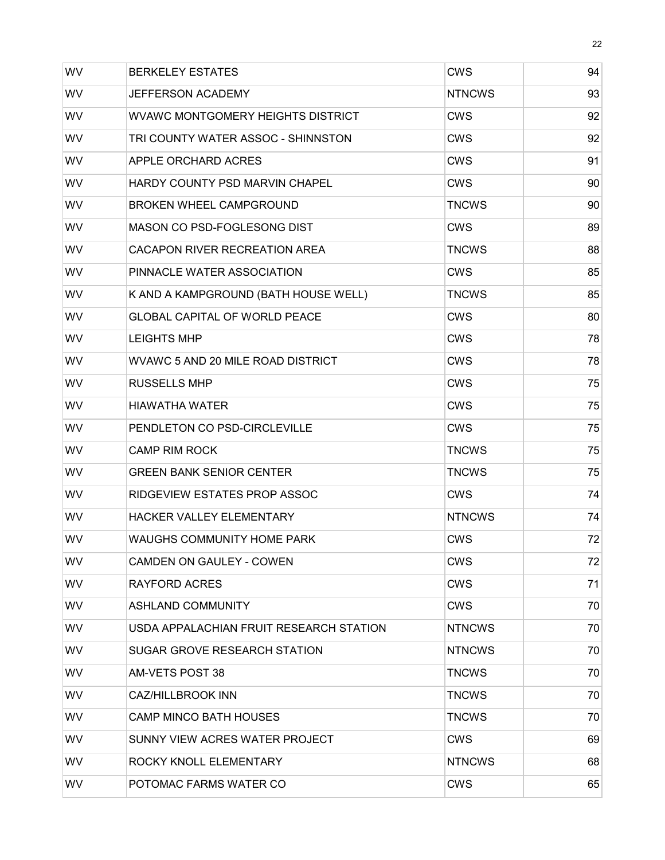| WV        | <b>BERKELEY ESTATES</b>                  | <b>CWS</b>    | 94 |
|-----------|------------------------------------------|---------------|----|
| <b>WV</b> | <b>JEFFERSON ACADEMY</b>                 | <b>NTNCWS</b> | 93 |
| <b>WV</b> | <b>WVAWC MONTGOMERY HEIGHTS DISTRICT</b> | <b>CWS</b>    | 92 |
| WV        | TRI COUNTY WATER ASSOC - SHINNSTON       | <b>CWS</b>    | 92 |
| WV        | APPLE ORCHARD ACRES                      | <b>CWS</b>    | 91 |
| WV        | HARDY COUNTY PSD MARVIN CHAPEL           | <b>CWS</b>    | 90 |
| WV        | <b>BROKEN WHEEL CAMPGROUND</b>           | <b>TNCWS</b>  | 90 |
| <b>WV</b> | MASON CO PSD-FOGLESONG DIST              | <b>CWS</b>    | 89 |
| WV        | CACAPON RIVER RECREATION AREA            | <b>TNCWS</b>  | 88 |
| WV        | PINNACLE WATER ASSOCIATION               | <b>CWS</b>    | 85 |
| WV        | K AND A KAMPGROUND (BATH HOUSE WELL)     | <b>TNCWS</b>  | 85 |
| WV        | <b>GLOBAL CAPITAL OF WORLD PEACE</b>     | <b>CWS</b>    | 80 |
| WV        | <b>LEIGHTS MHP</b>                       | <b>CWS</b>    | 78 |
| WV        | WVAWC 5 AND 20 MILE ROAD DISTRICT        | <b>CWS</b>    | 78 |
| <b>WV</b> | <b>RUSSELLS MHP</b>                      | <b>CWS</b>    | 75 |
| WV        | <b>HIAWATHA WATER</b>                    | <b>CWS</b>    | 75 |
| WV        | PENDLETON CO PSD-CIRCLEVILLE             | <b>CWS</b>    | 75 |
| WV        | <b>CAMP RIM ROCK</b>                     | <b>TNCWS</b>  | 75 |
| WV        | <b>GREEN BANK SENIOR CENTER</b>          | <b>TNCWS</b>  | 75 |
| <b>WV</b> | RIDGEVIEW ESTATES PROP ASSOC             | <b>CWS</b>    | 74 |
| <b>WV</b> | <b>HACKER VALLEY ELEMENTARY</b>          | <b>NTNCWS</b> | 74 |
| WV        | <b>WAUGHS COMMUNITY HOME PARK</b>        | <b>CWS</b>    | 72 |
| <b>WV</b> | <b>CAMDEN ON GAULEY - COWEN</b>          | <b>CWS</b>    | 72 |
| WV        | <b>RAYFORD ACRES</b>                     | <b>CWS</b>    | 71 |
| <b>WV</b> | <b>ASHLAND COMMUNITY</b>                 | <b>CWS</b>    | 70 |
| <b>WV</b> | USDA APPALACHIAN FRUIT RESEARCH STATION  | <b>NTNCWS</b> | 70 |
| <b>WV</b> | SUGAR GROVE RESEARCH STATION             | <b>NTNCWS</b> | 70 |
| <b>WV</b> | AM-VETS POST 38                          | TNCWS         | 70 |
| <b>WV</b> | <b>CAZ/HILLBROOK INN</b>                 | <b>TNCWS</b>  | 70 |
| WV        | <b>CAMP MINCO BATH HOUSES</b>            | <b>TNCWS</b>  | 70 |
| WV        | SUNNY VIEW ACRES WATER PROJECT           | <b>CWS</b>    | 69 |
| <b>WV</b> | ROCKY KNOLL ELEMENTARY                   | <b>NTNCWS</b> | 68 |
| WV        | POTOMAC FARMS WATER CO                   | <b>CWS</b>    | 65 |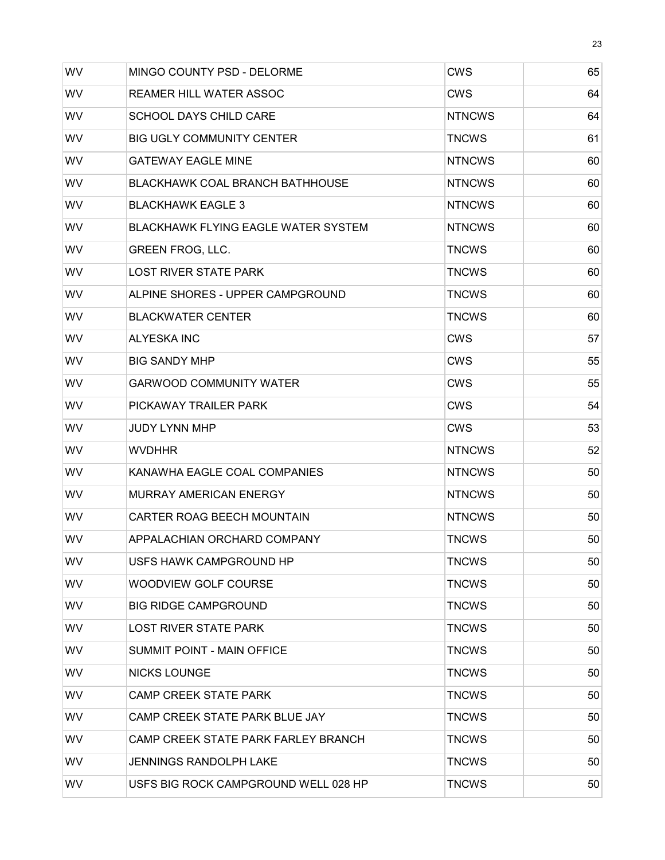| WV        | MINGO COUNTY PSD - DELORME                 | <b>CWS</b>    | 65 |
|-----------|--------------------------------------------|---------------|----|
| WV        | REAMER HILL WATER ASSOC                    | CWS           | 64 |
| <b>WV</b> | <b>SCHOOL DAYS CHILD CARE</b>              | <b>NTNCWS</b> | 64 |
| <b>WV</b> | <b>BIG UGLY COMMUNITY CENTER</b>           | <b>TNCWS</b>  | 61 |
| WV        | <b>GATEWAY EAGLE MINE</b>                  | <b>NTNCWS</b> | 60 |
| WV        | <b>BLACKHAWK COAL BRANCH BATHHOUSE</b>     | <b>NTNCWS</b> | 60 |
| WV        | <b>BLACKHAWK EAGLE 3</b>                   | <b>NTNCWS</b> | 60 |
| <b>WV</b> | <b>BLACKHAWK FLYING EAGLE WATER SYSTEM</b> | <b>NTNCWS</b> | 60 |
| WV        | <b>GREEN FROG, LLC.</b>                    | <b>TNCWS</b>  | 60 |
| WV        | <b>LOST RIVER STATE PARK</b>               | <b>TNCWS</b>  | 60 |
| WV        | ALPINE SHORES - UPPER CAMPGROUND           | <b>TNCWS</b>  | 60 |
| WV        | <b>BLACKWATER CENTER</b>                   | <b>TNCWS</b>  | 60 |
| WV        | <b>ALYESKA INC</b>                         | <b>CWS</b>    | 57 |
| WV        | <b>BIG SANDY MHP</b>                       | <b>CWS</b>    | 55 |
| <b>WV</b> | <b>GARWOOD COMMUNITY WATER</b>             | <b>CWS</b>    | 55 |
| <b>WV</b> | PICKAWAY TRAILER PARK                      | <b>CWS</b>    | 54 |
| WV        | <b>JUDY LYNN MHP</b>                       | <b>CWS</b>    | 53 |
| WV        | <b>WVDHHR</b>                              | <b>NTNCWS</b> | 52 |
| <b>WV</b> | KANAWHA EAGLE COAL COMPANIES               | <b>NTNCWS</b> | 50 |
| <b>WV</b> | <b>MURRAY AMERICAN ENERGY</b>              | <b>NTNCWS</b> | 50 |
| <b>WV</b> | CARTER ROAG BEECH MOUNTAIN                 | <b>NTNCWS</b> | 50 |
| WV        | APPALACHIAN ORCHARD COMPANY                | <b>TNCWS</b>  | 50 |
| <b>WV</b> | USFS HAWK CAMPGROUND HP                    | <b>TNCWS</b>  | 50 |
| WV        | WOODVIEW GOLF COURSE                       | <b>TNCWS</b>  | 50 |
| <b>WV</b> | <b>BIG RIDGE CAMPGROUND</b>                | <b>TNCWS</b>  | 50 |
| <b>WV</b> | <b>LOST RIVER STATE PARK</b>               | <b>TNCWS</b>  | 50 |
| <b>WV</b> | SUMMIT POINT - MAIN OFFICE                 | <b>TNCWS</b>  | 50 |
| <b>WV</b> | <b>NICKS LOUNGE</b>                        | <b>TNCWS</b>  | 50 |
| <b>WV</b> | <b>CAMP CREEK STATE PARK</b>               | <b>TNCWS</b>  | 50 |
| WV        | CAMP CREEK STATE PARK BLUE JAY             | <b>TNCWS</b>  | 50 |
| <b>WV</b> | CAMP CREEK STATE PARK FARLEY BRANCH        | <b>TNCWS</b>  | 50 |
| <b>WV</b> | <b>JENNINGS RANDOLPH LAKE</b>              | <b>TNCWS</b>  | 50 |
| WV        | USFS BIG ROCK CAMPGROUND WELL 028 HP       | <b>TNCWS</b>  | 50 |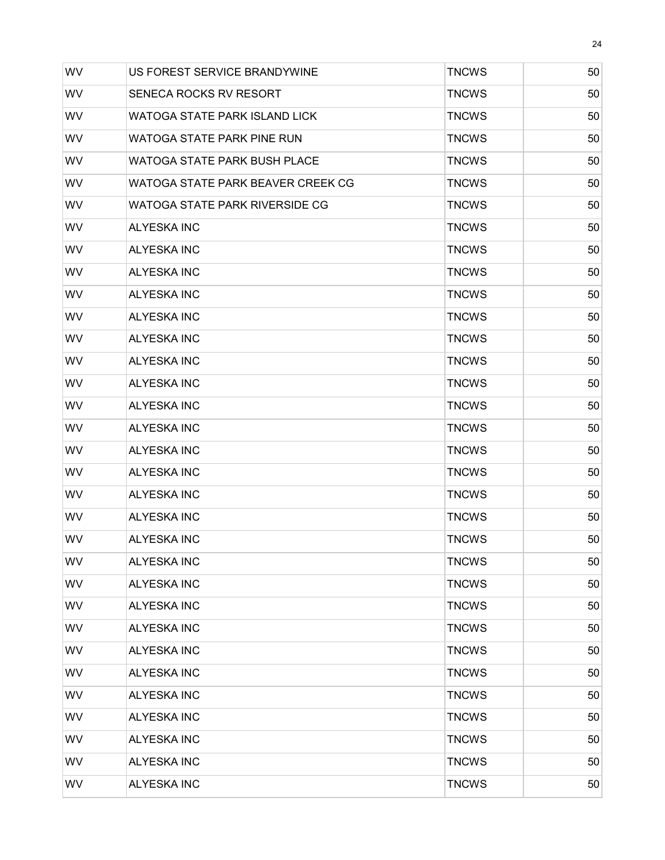| WV        | US FOREST SERVICE BRANDYWINE      | <b>TNCWS</b> | 50 |
|-----------|-----------------------------------|--------------|----|
| <b>WV</b> | SENECA ROCKS RV RESORT            | <b>TNCWS</b> | 50 |
| WV        | WATOGA STATE PARK ISLAND LICK     | <b>TNCWS</b> | 50 |
| WV        | WATOGA STATE PARK PINE RUN        | <b>TNCWS</b> | 50 |
| WV        | WATOGA STATE PARK BUSH PLACE      | <b>TNCWS</b> | 50 |
| <b>WV</b> | WATOGA STATE PARK BEAVER CREEK CG | <b>TNCWS</b> | 50 |
| WV        | WATOGA STATE PARK RIVERSIDE CG    | <b>TNCWS</b> | 50 |
| <b>WV</b> | <b>ALYESKA INC</b>                | <b>TNCWS</b> | 50 |
| WV        | <b>ALYESKA INC</b>                | <b>TNCWS</b> | 50 |
| WV        | <b>ALYESKA INC</b>                | <b>TNCWS</b> | 50 |
| <b>WV</b> | <b>ALYESKA INC</b>                | <b>TNCWS</b> | 50 |
| <b>WV</b> | <b>ALYESKA INC</b>                | <b>TNCWS</b> | 50 |
| WV        | <b>ALYESKA INC</b>                | <b>TNCWS</b> | 50 |
| WV        | <b>ALYESKA INC</b>                | <b>TNCWS</b> | 50 |
| WV        | <b>ALYESKA INC</b>                | <b>TNCWS</b> | 50 |
| WV        | <b>ALYESKA INC</b>                | <b>TNCWS</b> | 50 |
| <b>WV</b> | <b>ALYESKA INC</b>                | <b>TNCWS</b> | 50 |
| WV        | <b>ALYESKA INC</b>                | <b>TNCWS</b> | 50 |
| WV        | <b>ALYESKA INC</b>                | <b>TNCWS</b> | 50 |
| WV        | <b>ALYESKA INC</b>                | <b>TNCWS</b> | 50 |
| WV        | <b>ALYESKA INC</b>                | <b>TNCWS</b> | 50 |
| WV        | <b>ALYESKA INC</b>                | <b>TNCWS</b> | 50 |
| <b>WV</b> | <b>ALYESKA INC</b>                | <b>TNCWS</b> | 50 |
| WV        | <b>ALYESKA INC</b>                | <b>TNCWS</b> | 50 |
| <b>WV</b> | <b>ALYESKA INC</b>                | <b>TNCWS</b> | 50 |
| WV        | <b>ALYESKA INC</b>                | <b>TNCWS</b> | 50 |
| WV        | <b>ALYESKA INC</b>                | <b>TNCWS</b> | 50 |
| <b>WV</b> | <b>ALYESKA INC</b>                | <b>TNCWS</b> | 50 |
| <b>WV</b> | <b>ALYESKA INC</b>                | <b>TNCWS</b> | 50 |
| <b>WV</b> | <b>ALYESKA INC</b>                | <b>TNCWS</b> | 50 |
| WV        | <b>ALYESKA INC</b>                | <b>TNCWS</b> | 50 |
| <b>WV</b> | <b>ALYESKA INC</b>                | <b>TNCWS</b> | 50 |
| <b>WV</b> | <b>ALYESKA INC</b>                | <b>TNCWS</b> | 50 |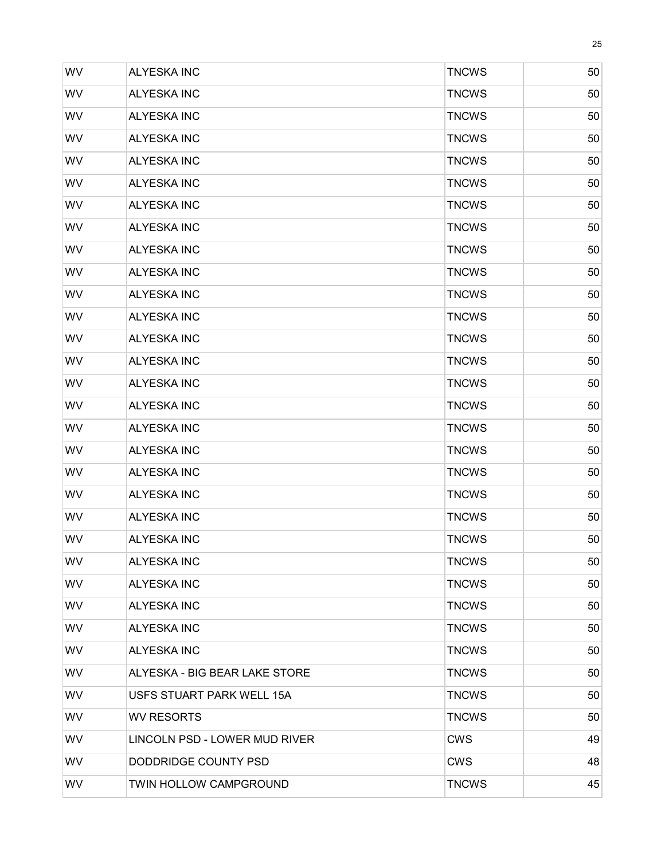| WV        | <b>ALYESKA INC</b>            | <b>TNCWS</b> | 50 |
|-----------|-------------------------------|--------------|----|
| WV        | <b>ALYESKA INC</b>            | <b>TNCWS</b> | 50 |
| WV        | <b>ALYESKA INC</b>            | <b>TNCWS</b> | 50 |
| WV        | <b>ALYESKA INC</b>            | <b>TNCWS</b> | 50 |
| WV        | <b>ALYESKA INC</b>            | <b>TNCWS</b> | 50 |
| WV        | <b>ALYESKA INC</b>            | <b>TNCWS</b> | 50 |
| WV        | <b>ALYESKA INC</b>            | <b>TNCWS</b> | 50 |
| WV        | <b>ALYESKA INC</b>            | <b>TNCWS</b> | 50 |
| WV        | <b>ALYESKA INC</b>            | <b>TNCWS</b> | 50 |
| WV        | <b>ALYESKA INC</b>            | <b>TNCWS</b> | 50 |
| <b>WV</b> | <b>ALYESKA INC</b>            | <b>TNCWS</b> | 50 |
| WV        | <b>ALYESKA INC</b>            | <b>TNCWS</b> | 50 |
| WV        | <b>ALYESKA INC</b>            | <b>TNCWS</b> | 50 |
| <b>WV</b> | <b>ALYESKA INC</b>            | <b>TNCWS</b> | 50 |
| WV        | <b>ALYESKA INC</b>            | <b>TNCWS</b> | 50 |
| WV        | <b>ALYESKA INC</b>            | <b>TNCWS</b> | 50 |
| <b>WV</b> | <b>ALYESKA INC</b>            | <b>TNCWS</b> | 50 |
| WV        | <b>ALYESKA INC</b>            | <b>TNCWS</b> | 50 |
| WV        | <b>ALYESKA INC</b>            | <b>TNCWS</b> | 50 |
| <b>WV</b> | <b>ALYESKA INC</b>            | <b>TNCWS</b> | 50 |
| WV        | <b>ALYESKA INC</b>            | <b>TNCWS</b> | 50 |
| WV        | <b>ALYESKA INC</b>            | <b>TNCWS</b> | 50 |
| <b>WV</b> | <b>ALYESKA INC</b>            | <b>TNCWS</b> | 50 |
| <b>WV</b> | <b>ALYESKA INC</b>            | <b>TNCWS</b> | 50 |
| <b>WV</b> | <b>ALYESKA INC</b>            | <b>TNCWS</b> | 50 |
| <b>WV</b> | <b>ALYESKA INC</b>            | <b>TNCWS</b> | 50 |
| <b>WV</b> | ALYESKA INC                   | <b>TNCWS</b> | 50 |
| <b>WV</b> | ALYESKA - BIG BEAR LAKE STORE | <b>TNCWS</b> | 50 |
| <b>WV</b> | USFS STUART PARK WELL 15A     | <b>TNCWS</b> | 50 |
| <b>WV</b> | <b>WV RESORTS</b>             | <b>TNCWS</b> | 50 |
| <b>WV</b> | LINCOLN PSD - LOWER MUD RIVER | <b>CWS</b>   | 49 |
| <b>WV</b> | DODDRIDGE COUNTY PSD          | <b>CWS</b>   | 48 |
| <b>WV</b> | TWIN HOLLOW CAMPGROUND        | <b>TNCWS</b> | 45 |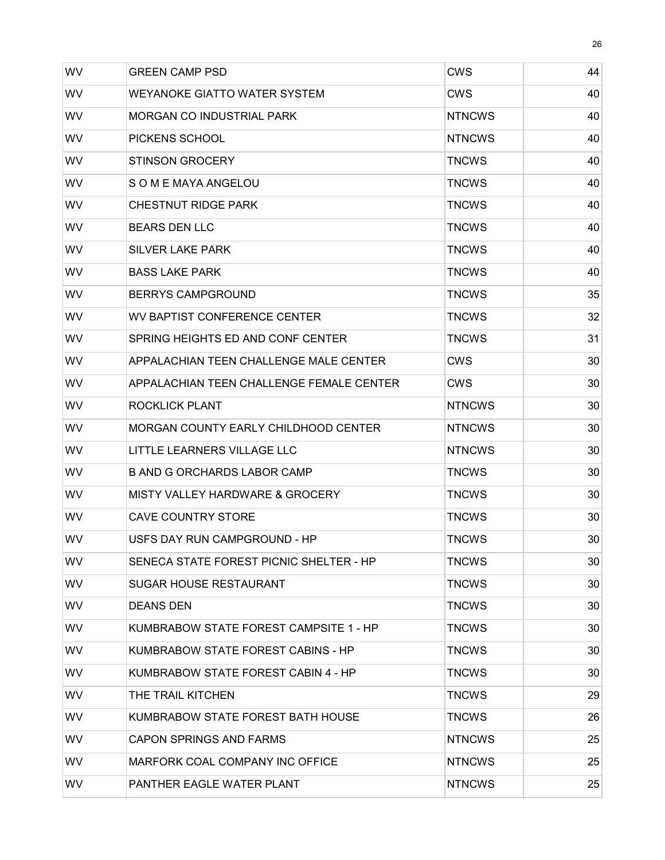| WV        | <b>GREEN CAMP PSD</b>                      | <b>CWS</b>    | 44 |
|-----------|--------------------------------------------|---------------|----|
| <b>WV</b> | <b>WEYANOKE GIATTO WATER SYSTEM</b>        | CWS           | 40 |
| <b>WV</b> | <b>MORGAN CO INDUSTRIAL PARK</b>           | <b>NTNCWS</b> | 40 |
| WV        | PICKENS SCHOOL                             | <b>NTNCWS</b> | 40 |
| WV        | <b>STINSON GROCERY</b>                     | <b>TNCWS</b>  | 40 |
| <b>WV</b> | S O M E MAYA ANGELOU                       | <b>TNCWS</b>  | 40 |
| <b>WV</b> | <b>CHESTNUT RIDGE PARK</b>                 | <b>TNCWS</b>  | 40 |
| <b>WV</b> | <b>BEARS DEN LLC</b>                       | <b>TNCWS</b>  | 40 |
| WV        | <b>SILVER LAKE PARK</b>                    | <b>TNCWS</b>  | 40 |
| WV        | <b>BASS LAKE PARK</b>                      | <b>TNCWS</b>  | 40 |
| <b>WV</b> | <b>BERRYS CAMPGROUND</b>                   | <b>TNCWS</b>  | 35 |
| WV        | WV BAPTIST CONFERENCE CENTER               | <b>TNCWS</b>  | 32 |
| <b>WV</b> | SPRING HEIGHTS ED AND CONF CENTER          | <b>TNCWS</b>  | 31 |
| <b>WV</b> | APPALACHIAN TEEN CHALLENGE MALE CENTER     | CWS           | 30 |
| <b>WV</b> | APPALACHIAN TEEN CHALLENGE FEMALE CENTER   | CWS           | 30 |
| WV        | ROCKLICK PLANT                             | <b>NTNCWS</b> | 30 |
| <b>WV</b> | MORGAN COUNTY EARLY CHILDHOOD CENTER       | <b>NTNCWS</b> | 30 |
| <b>WV</b> | LITTLE LEARNERS VILLAGE LLC                | <b>NTNCWS</b> | 30 |
| <b>WV</b> | <b>B AND G ORCHARDS LABOR CAMP</b>         | <b>TNCWS</b>  | 30 |
| <b>WV</b> | <b>MISTY VALLEY HARDWARE &amp; GROCERY</b> | <b>TNCWS</b>  | 30 |
| WV        | <b>CAVE COUNTRY STORE</b>                  | <b>TNCWS</b>  | 30 |
| WV        | USFS DAY RUN CAMPGROUND - HP               | <b>TNCWS</b>  | 30 |
| WV.       | SENECA STATE FOREST PICNIC SHELTER - HP    | <b>TNCWS</b>  | 30 |
| <b>WV</b> | <b>SUGAR HOUSE RESTAURANT</b>              | <b>TNCWS</b>  | 30 |
| WV.       | <b>DEANS DEN</b>                           | <b>TNCWS</b>  | 30 |
| WV.       | KUMBRABOW STATE FOREST CAMPSITE 1 - HP     | <b>TNCWS</b>  | 30 |
| WV.       | KUMBRABOW STATE FOREST CABINS - HP         | <b>TNCWS</b>  | 30 |
| WV.       | KUMBRABOW STATE FOREST CABIN 4 - HP        | TNCWS         | 30 |
| WV.       | THE TRAIL KITCHEN                          | <b>TNCWS</b>  | 29 |
| WV.       | KUMBRABOW STATE FOREST BATH HOUSE          | <b>TNCWS</b>  | 26 |
| WV.       | <b>CAPON SPRINGS AND FARMS</b>             | <b>NTNCWS</b> | 25 |
| WV.       | MARFORK COAL COMPANY INC OFFICE            | <b>NTNCWS</b> | 25 |
| WV        | PANTHER EAGLE WATER PLANT                  | <b>NTNCWS</b> | 25 |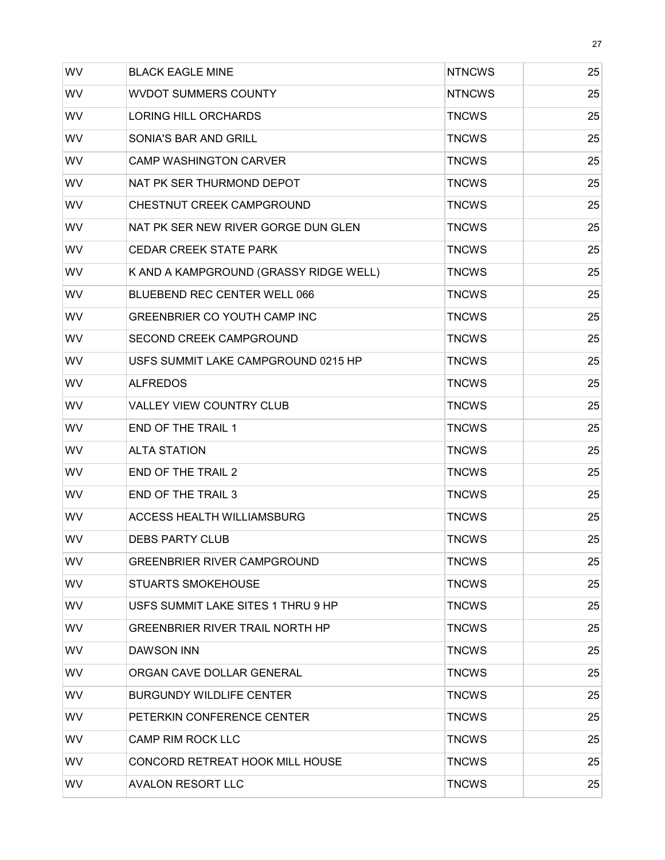| WV        | <b>BLACK EAGLE MINE</b>                | <b>NTNCWS</b> | 25 |
|-----------|----------------------------------------|---------------|----|
| WV        | <b>WVDOT SUMMERS COUNTY</b>            | <b>NTNCWS</b> | 25 |
| WV        | <b>LORING HILL ORCHARDS</b>            | <b>TNCWS</b>  | 25 |
| WV        | SONIA'S BAR AND GRILL                  | <b>TNCWS</b>  | 25 |
| WV        | <b>CAMP WASHINGTON CARVER</b>          | <b>TNCWS</b>  | 25 |
| WV        | NAT PK SER THURMOND DEPOT              | <b>TNCWS</b>  | 25 |
| WV        | CHESTNUT CREEK CAMPGROUND              | <b>TNCWS</b>  | 25 |
| WV        | NAT PK SER NEW RIVER GORGE DUN GLEN    | <b>TNCWS</b>  | 25 |
| <b>WV</b> | <b>CEDAR CREEK STATE PARK</b>          | <b>TNCWS</b>  | 25 |
| WV        | K AND A KAMPGROUND (GRASSY RIDGE WELL) | <b>TNCWS</b>  | 25 |
| WV        | BLUEBEND REC CENTER WELL 066           | <b>TNCWS</b>  | 25 |
| WV        | GREENBRIER CO YOUTH CAMP INC           | <b>TNCWS</b>  | 25 |
| WV        | <b>SECOND CREEK CAMPGROUND</b>         | <b>TNCWS</b>  | 25 |
| WV        | USFS SUMMIT LAKE CAMPGROUND 0215 HP    | <b>TNCWS</b>  | 25 |
| WV        | <b>ALFREDOS</b>                        | <b>TNCWS</b>  | 25 |
| WV        | <b>VALLEY VIEW COUNTRY CLUB</b>        | <b>TNCWS</b>  | 25 |
| WV        | <b>END OF THE TRAIL 1</b>              | <b>TNCWS</b>  | 25 |
| WV        | <b>ALTA STATION</b>                    | <b>TNCWS</b>  | 25 |
| WV        | <b>END OF THE TRAIL 2</b>              | <b>TNCWS</b>  | 25 |
| <b>WV</b> | <b>END OF THE TRAIL 3</b>              | <b>TNCWS</b>  | 25 |
| WV        | <b>ACCESS HEALTH WILLIAMSBURG</b>      | <b>TNCWS</b>  | 25 |
| WV        | <b>DEBS PARTY CLUB</b>                 | <b>TNCWS</b>  | 25 |
| <b>WV</b> | <b>GREENBRIER RIVER CAMPGROUND</b>     | <b>TNCWS</b>  | 25 |
| WV        | <b>STUARTS SMOKEHOUSE</b>              | <b>TNCWS</b>  | 25 |
| <b>WV</b> | USFS SUMMIT LAKE SITES 1 THRU 9 HP     | <b>TNCWS</b>  | 25 |
| <b>WV</b> | <b>GREENBRIER RIVER TRAIL NORTH HP</b> | <b>TNCWS</b>  | 25 |
| <b>WV</b> | <b>DAWSON INN</b>                      | <b>TNCWS</b>  | 25 |
| <b>WV</b> | ORGAN CAVE DOLLAR GENERAL              | <b>TNCWS</b>  | 25 |
| <b>WV</b> | <b>BURGUNDY WILDLIFE CENTER</b>        | <b>TNCWS</b>  | 25 |
| <b>WV</b> | PETERKIN CONFERENCE CENTER             | <b>TNCWS</b>  | 25 |
| WV        | <b>CAMP RIM ROCK LLC</b>               | <b>TNCWS</b>  | 25 |
| <b>WV</b> | CONCORD RETREAT HOOK MILL HOUSE        | <b>TNCWS</b>  | 25 |
| WV        | <b>AVALON RESORT LLC</b>               | <b>TNCWS</b>  | 25 |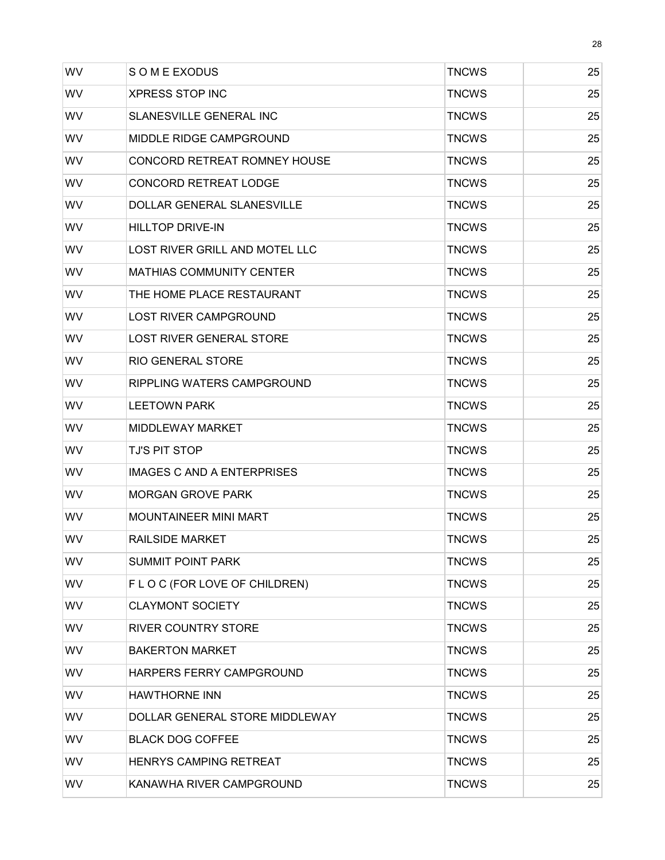| WV        | S O M E EXODUS                      | <b>TNCWS</b> | 25 |
|-----------|-------------------------------------|--------------|----|
| WV        | <b>XPRESS STOP INC</b>              | <b>TNCWS</b> | 25 |
| <b>WV</b> | SLANESVILLE GENERAL INC             | <b>TNCWS</b> | 25 |
| WV        | MIDDLE RIDGE CAMPGROUND             | <b>TNCWS</b> | 25 |
| WV        | <b>CONCORD RETREAT ROMNEY HOUSE</b> | <b>TNCWS</b> | 25 |
| <b>WV</b> | <b>CONCORD RETREAT LODGE</b>        | <b>TNCWS</b> | 25 |
| WV        | <b>DOLLAR GENERAL SLANESVILLE</b>   | <b>TNCWS</b> | 25 |
| WV        | <b>HILLTOP DRIVE-IN</b>             | <b>TNCWS</b> | 25 |
| WV        | LOST RIVER GRILL AND MOTEL LLC      | <b>TNCWS</b> | 25 |
| WV        | <b>MATHIAS COMMUNITY CENTER</b>     | <b>TNCWS</b> | 25 |
| WV        | THE HOME PLACE RESTAURANT           | <b>TNCWS</b> | 25 |
| <b>WV</b> | <b>LOST RIVER CAMPGROUND</b>        | <b>TNCWS</b> | 25 |
| WV.       | LOST RIVER GENERAL STORE            | <b>TNCWS</b> | 25 |
| WV        | <b>RIO GENERAL STORE</b>            | <b>TNCWS</b> | 25 |
| <b>WV</b> | RIPPLING WATERS CAMPGROUND          | <b>TNCWS</b> | 25 |
| WV        | <b>LEETOWN PARK</b>                 | <b>TNCWS</b> | 25 |
| WV        | <b>MIDDLEWAY MARKET</b>             | <b>TNCWS</b> | 25 |
| WV        | <b>TJ'S PIT STOP</b>                | <b>TNCWS</b> | 25 |
| <b>WV</b> | IMAGES C AND A ENTERPRISES          | <b>TNCWS</b> | 25 |
| <b>WV</b> | <b>MORGAN GROVE PARK</b>            | <b>TNCWS</b> | 25 |
| <b>WV</b> | <b>MOUNTAINEER MINI MART</b>        | <b>TNCWS</b> | 25 |
| WV        | <b>RAILSIDE MARKET</b>              | <b>TNCWS</b> | 25 |
| WV.       | <b>SUMMIT POINT PARK</b>            | <b>TNCWS</b> | 25 |
| WV        | F L O C (FOR LOVE OF CHILDREN)      | <b>TNCWS</b> | 25 |
| WV.       | <b>CLAYMONT SOCIETY</b>             | <b>TNCWS</b> | 25 |
| WV        | <b>RIVER COUNTRY STORE</b>          | <b>TNCWS</b> | 25 |
| WV        | <b>BAKERTON MARKET</b>              | <b>TNCWS</b> | 25 |
| WV        | HARPERS FERRY CAMPGROUND            | <b>TNCWS</b> | 25 |
| WV.       | <b>HAWTHORNE INN</b>                | <b>TNCWS</b> | 25 |
| WV        | DOLLAR GENERAL STORE MIDDLEWAY      | <b>TNCWS</b> | 25 |
| WV        | <b>BLACK DOG COFFEE</b>             | <b>TNCWS</b> | 25 |
| <b>WV</b> | <b>HENRYS CAMPING RETREAT</b>       | <b>TNCWS</b> | 25 |
| WV        | KANAWHA RIVER CAMPGROUND            | <b>TNCWS</b> | 25 |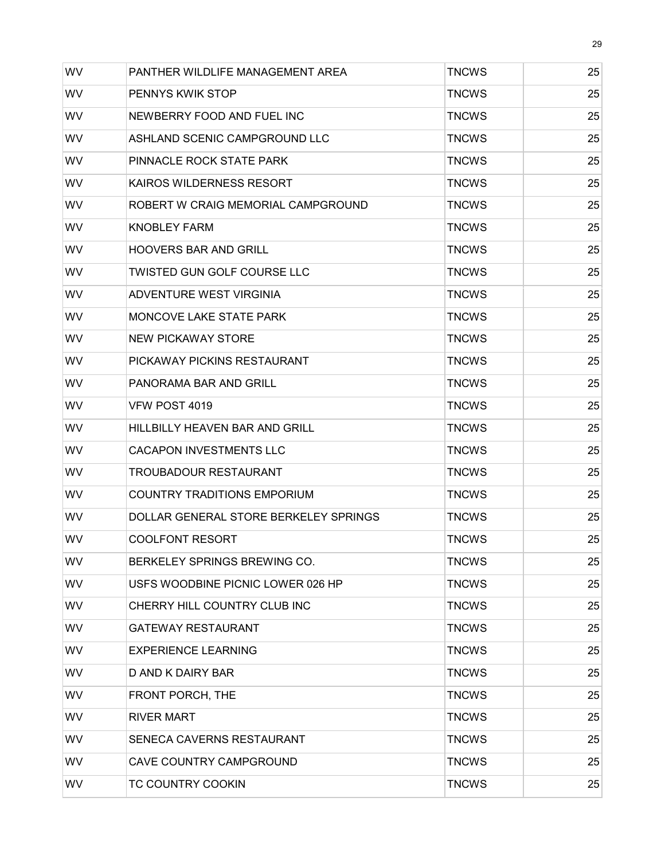| WV        | PANTHER WILDLIFE MANAGEMENT AREA      | <b>TNCWS</b> | 25 |
|-----------|---------------------------------------|--------------|----|
| <b>WV</b> | <b>PENNYS KWIK STOP</b>               | <b>TNCWS</b> | 25 |
| WV        | NEWBERRY FOOD AND FUEL INC            | <b>TNCWS</b> | 25 |
| <b>WV</b> | ASHLAND SCENIC CAMPGROUND LLC         | <b>TNCWS</b> | 25 |
| <b>WV</b> | PINNACLE ROCK STATE PARK              | <b>TNCWS</b> | 25 |
| <b>WV</b> | <b>KAIROS WILDERNESS RESORT</b>       | <b>TNCWS</b> | 25 |
| WV        | ROBERT W CRAIG MEMORIAL CAMPGROUND    | <b>TNCWS</b> | 25 |
| WV        | <b>KNOBLEY FARM</b>                   | <b>TNCWS</b> | 25 |
| <b>WV</b> | <b>HOOVERS BAR AND GRILL</b>          | <b>TNCWS</b> | 25 |
| <b>WV</b> | TWISTED GUN GOLF COURSE LLC           | <b>TNCWS</b> | 25 |
| WV        | ADVENTURE WEST VIRGINIA               | <b>TNCWS</b> | 25 |
| <b>WV</b> | <b>MONCOVE LAKE STATE PARK</b>        | <b>TNCWS</b> | 25 |
| <b>WV</b> | <b>NEW PICKAWAY STORE</b>             | <b>TNCWS</b> | 25 |
| WV        | PICKAWAY PICKINS RESTAURANT           | <b>TNCWS</b> | 25 |
| <b>WV</b> | PANORAMA BAR AND GRILL                | <b>TNCWS</b> | 25 |
| <b>WV</b> | VFW POST 4019                         | <b>TNCWS</b> | 25 |
| WV        | HILLBILLY HEAVEN BAR AND GRILL        | <b>TNCWS</b> | 25 |
| <b>WV</b> | <b>CACAPON INVESTMENTS LLC</b>        | <b>TNCWS</b> | 25 |
| WV        | <b>TROUBADOUR RESTAURANT</b>          | <b>TNCWS</b> | 25 |
| WV        | <b>COUNTRY TRADITIONS EMPORIUM</b>    | <b>TNCWS</b> | 25 |
| <b>WV</b> | DOLLAR GENERAL STORE BERKELEY SPRINGS | <b>TNCWS</b> | 25 |
| <b>WV</b> | <b>COOLFONT RESORT</b>                | <b>TNCWS</b> | 25 |
| <b>WV</b> | BERKELEY SPRINGS BREWING CO.          | <b>TNCWS</b> | 25 |
| WV        | USFS WOODBINE PICNIC LOWER 026 HP     | <b>TNCWS</b> | 25 |
| <b>WV</b> | CHERRY HILL COUNTRY CLUB INC          | <b>TNCWS</b> | 25 |
| WV        | <b>GATEWAY RESTAURANT</b>             | <b>TNCWS</b> | 25 |
| WV        | <b>EXPERIENCE LEARNING</b>            | <b>TNCWS</b> | 25 |
| <b>WV</b> | D AND K DAIRY BAR                     | <b>TNCWS</b> | 25 |
| <b>WV</b> | FRONT PORCH, THE                      | <b>TNCWS</b> | 25 |
| WV        | <b>RIVER MART</b>                     | <b>TNCWS</b> | 25 |
| WV        | SENECA CAVERNS RESTAURANT             | <b>TNCWS</b> | 25 |
| WV        | CAVE COUNTRY CAMPGROUND               | <b>TNCWS</b> | 25 |
| WV        | TC COUNTRY COOKIN                     | <b>TNCWS</b> | 25 |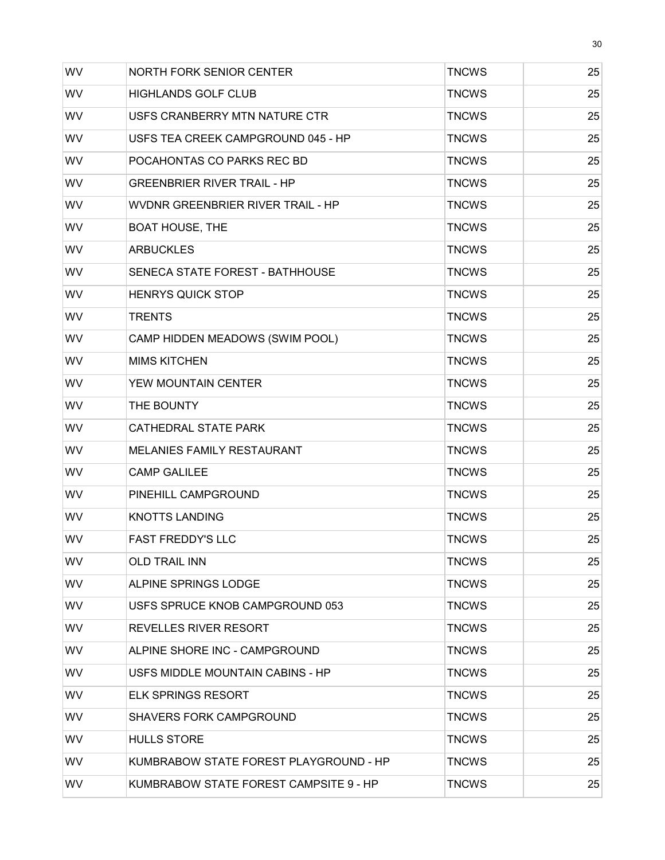| WV        | <b>NORTH FORK SENIOR CENTER</b>        | <b>TNCWS</b> | 25 |
|-----------|----------------------------------------|--------------|----|
| <b>WV</b> | <b>HIGHLANDS GOLF CLUB</b>             | <b>TNCWS</b> | 25 |
| WV        | USFS CRANBERRY MTN NATURE CTR          | <b>TNCWS</b> | 25 |
| WV        | USFS TEA CREEK CAMPGROUND 045 - HP     | <b>TNCWS</b> | 25 |
| WV        | POCAHONTAS CO PARKS REC BD             | <b>TNCWS</b> | 25 |
| WV        | <b>GREENBRIER RIVER TRAIL - HP</b>     | <b>TNCWS</b> | 25 |
| WV        | WVDNR GREENBRIER RIVER TRAIL - HP      | <b>TNCWS</b> | 25 |
| <b>WV</b> | <b>BOAT HOUSE, THE</b>                 | <b>TNCWS</b> | 25 |
| WV        | <b>ARBUCKLES</b>                       | <b>TNCWS</b> | 25 |
| WV        | SENECA STATE FOREST - BATHHOUSE        | <b>TNCWS</b> | 25 |
| WV        | <b>HENRYS QUICK STOP</b>               | <b>TNCWS</b> | 25 |
| WV        | <b>TRENTS</b>                          | <b>TNCWS</b> | 25 |
| WV        | CAMP HIDDEN MEADOWS (SWIM POOL)        | <b>TNCWS</b> | 25 |
| WV        | <b>MIMS KITCHEN</b>                    | <b>TNCWS</b> | 25 |
| WV        | YEW MOUNTAIN CENTER                    | <b>TNCWS</b> | 25 |
| WV        | THE BOUNTY                             | <b>TNCWS</b> | 25 |
| WV        | <b>CATHEDRAL STATE PARK</b>            | <b>TNCWS</b> | 25 |
| WV        | <b>MELANIES FAMILY RESTAURANT</b>      | <b>TNCWS</b> | 25 |
| WV        | <b>CAMP GALILEE</b>                    | <b>TNCWS</b> | 25 |
| WV        | PINEHILL CAMPGROUND                    | <b>TNCWS</b> | 25 |
| WV        | <b>KNOTTS LANDING</b>                  | <b>TNCWS</b> | 25 |
| WV        | <b>FAST FREDDY'S LLC</b>               | <b>TNCWS</b> | 25 |
| <b>WV</b> | <b>OLD TRAIL INN</b>                   | <b>TNCWS</b> | 25 |
| WV        | ALPINE SPRINGS LODGE                   | <b>TNCWS</b> | 25 |
| <b>WV</b> | USFS SPRUCE KNOB CAMPGROUND 053        | <b>TNCWS</b> | 25 |
| <b>WV</b> | REVELLES RIVER RESORT                  | <b>TNCWS</b> | 25 |
| <b>WV</b> | ALPINE SHORE INC - CAMPGROUND          | <b>TNCWS</b> | 25 |
| <b>WV</b> | USFS MIDDLE MOUNTAIN CABINS - HP       | <b>TNCWS</b> | 25 |
| <b>WV</b> | <b>ELK SPRINGS RESORT</b>              | <b>TNCWS</b> | 25 |
| <b>WV</b> | <b>SHAVERS FORK CAMPGROUND</b>         | <b>TNCWS</b> | 25 |
| <b>WV</b> | <b>HULLS STORE</b>                     | <b>TNCWS</b> | 25 |
| <b>WV</b> | KUMBRABOW STATE FOREST PLAYGROUND - HP | <b>TNCWS</b> | 25 |
| WV        | KUMBRABOW STATE FOREST CAMPSITE 9 - HP | <b>TNCWS</b> | 25 |